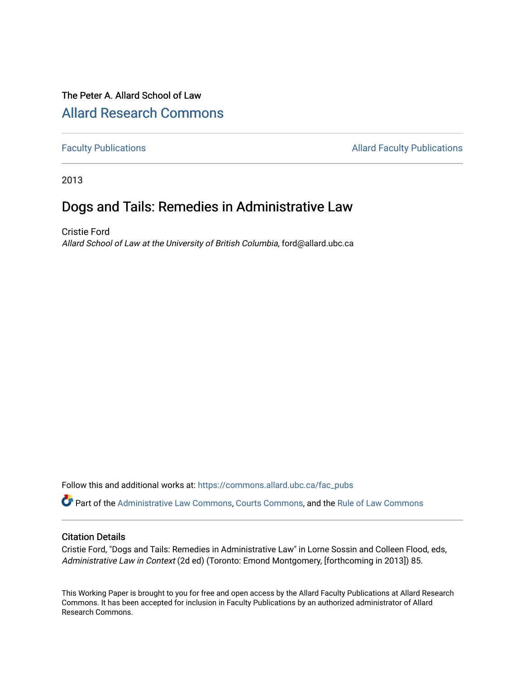# The Peter A. Allard School of Law [Allard Research Commons](https://commons.allard.ubc.ca/)

[Faculty Publications](https://commons.allard.ubc.ca/fac_pubs) **Allard Faculty Publications** 

2013

# Dogs and Tails: Remedies in Administrative Law

Cristie Ford Allard School of Law at the University of British Columbia, ford@allard.ubc.ca

Follow this and additional works at: [https://commons.allard.ubc.ca/fac\\_pubs](https://commons.allard.ubc.ca/fac_pubs?utm_source=commons.allard.ubc.ca%2Ffac_pubs%2F130&utm_medium=PDF&utm_campaign=PDFCoverPages)

Part of the [Administrative Law Commons,](http://network.bepress.com/hgg/discipline/579?utm_source=commons.allard.ubc.ca%2Ffac_pubs%2F130&utm_medium=PDF&utm_campaign=PDFCoverPages) [Courts Commons,](http://network.bepress.com/hgg/discipline/839?utm_source=commons.allard.ubc.ca%2Ffac_pubs%2F130&utm_medium=PDF&utm_campaign=PDFCoverPages) and the [Rule of Law Commons](http://network.bepress.com/hgg/discipline/1122?utm_source=commons.allard.ubc.ca%2Ffac_pubs%2F130&utm_medium=PDF&utm_campaign=PDFCoverPages) 

#### Citation Details

Cristie Ford, "Dogs and Tails: Remedies in Administrative Law" in Lorne Sossin and Colleen Flood, eds, Administrative Law in Context (2d ed) (Toronto: Emond Montgomery, [forthcoming in 2013]) 85.

This Working Paper is brought to you for free and open access by the Allard Faculty Publications at Allard Research Commons. It has been accepted for inclusion in Faculty Publications by an authorized administrator of Allard Research Commons.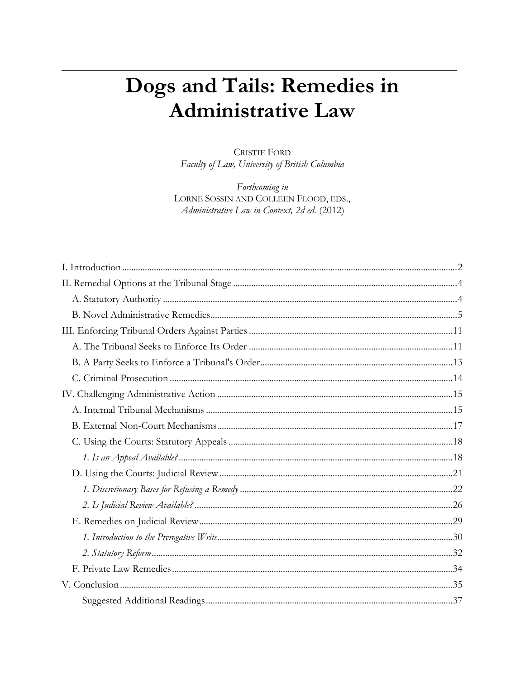# Dogs and Tails: Remedies in **Administrative Law**

**CRISTIE FORD** Faculty of Law, University of British Columbia

Forthcoming in LORNE SOSSIN AND COLLEEN FLOOD, EDS., Administrative Law in Context, 2d ed. (2012)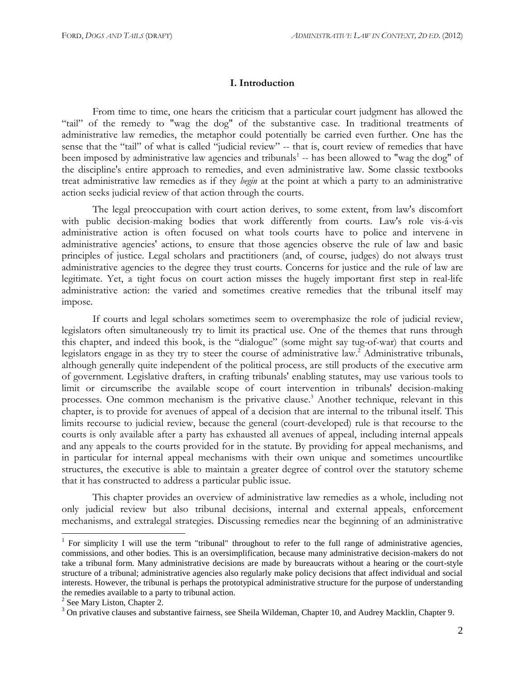# **I. Introduction**

<span id="page-2-0"></span>From time to time, one hears the criticism that a particular court judgment has allowed the "tail" of the remedy to "wag the dog" of the substantive case. In traditional treatments of administrative law remedies, the metaphor could potentially be carried even further. One has the sense that the "tail" of what is called "judicial review" -- that is, court review of remedies that have been imposed by administrative law agencies and tribunals<sup>1</sup> -- has been allowed to "wag the dog" of the discipline's entire approach to remedies, and even administrative law. Some classic textbooks treat administrative law remedies as if they *begin* at the point at which a party to an administrative action seeks judicial review of that action through the courts.

The legal preoccupation with court action derives, to some extent, from law's discomfort with public decision-making bodies that work differently from courts. Law's role vis-á-vis administrative action is often focused on what tools courts have to police and intervene in administrative agencies' actions, to ensure that those agencies observe the rule of law and basic principles of justice. Legal scholars and practitioners (and, of course, judges) do not always trust administrative agencies to the degree they trust courts. Concerns for justice and the rule of law are legitimate. Yet, a tight focus on court action misses the hugely important first step in real-life administrative action: the varied and sometimes creative remedies that the tribunal itself may impose.

If courts and legal scholars sometimes seem to overemphasize the role of judicial review, legislators often simultaneously try to limit its practical use. One of the themes that runs through this chapter, and indeed this book, is the "dialogue" (some might say tug-of-war) that courts and legislators engage in as they try to steer the course of administrative law.<sup>2</sup> Administrative tribunals, although generally quite independent of the political process, are still products of the executive arm of government. Legislative drafters, in crafting tribunals' enabling statutes, may use various tools to limit or circumscribe the available scope of court intervention in tribunals' decision-making processes. One common mechanism is the privative clause.<sup>3</sup> Another technique, relevant in this chapter, is to provide for avenues of appeal of a decision that are internal to the tribunal itself. This limits recourse to judicial review, because the general (court-developed) rule is that recourse to the courts is only available after a party has exhausted all avenues of appeal, including internal appeals and any appeals to the courts provided for in the statute. By providing for appeal mechanisms, and in particular for internal appeal mechanisms with their own unique and sometimes uncourtlike structures, the executive is able to maintain a greater degree of control over the statutory scheme that it has constructed to address a particular public issue.

This chapter provides an overview of administrative law remedies as a whole, including not only judicial review but also tribunal decisions, internal and external appeals, enforcement mechanisms, and extralegal strategies. Discussing remedies near the beginning of an administrative

<sup>&</sup>lt;sup>1</sup> For simplicity I will use the term "tribunal" throughout to refer to the full range of administrative agencies, commissions, and other bodies. This is an oversimplification, because many administrative decision-makers do not take a tribunal form. Many administrative decisions are made by bureaucrats without a hearing or the court-style structure of a tribunal; administrative agencies also regularly make policy decisions that affect individual and social interests. However, the tribunal is perhaps the prototypical administrative structure for the purpose of understanding the remedies available to a party to tribunal action.

<sup>&</sup>lt;sup>2</sup> See Mary Liston, Chapter 2.

 $3$  On privative clauses and substantive fairness, see Sheila Wildeman, Chapter 10, and Audrey Macklin, Chapter 9.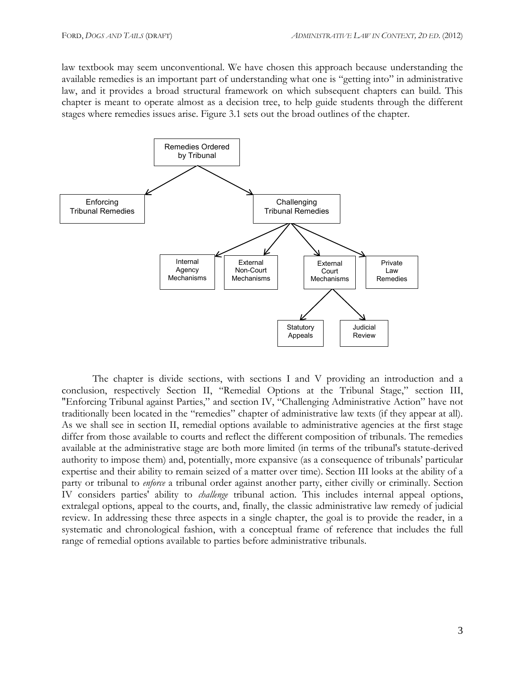law textbook may seem unconventional. We have chosen this approach because understanding the available remedies is an important part of understanding what one is "getting into" in administrative law, and it provides a broad structural framework on which subsequent chapters can build. This chapter is meant to operate almost as a decision tree, to help guide students through the different stages where remedies issues arise. Figure 3.1 sets out the broad outlines of the chapter.



<span id="page-3-0"></span>The chapter is divide sections, with sections I and V providing an introduction and a conclusion, respectively Section II, "Remedial Options at the Tribunal Stage," section III, "Enforcing Tribunal against Parties," and section IV, "Challenging Administrative Action" have not traditionally been located in the "remedies" chapter of administrative law texts (if they appear at all). As we shall see in section II, remedial options available to administrative agencies at the first stage differ from those available to courts and reflect the different composition of tribunals. The remedies available at the administrative stage are both more limited (in terms of the tribunal's statute-derived authority to impose them) and, potentially, more expansive (as a consequence of tribunals' particular expertise and their ability to remain seized of a matter over time). Section III looks at the ability of a party or tribunal to *enforce* a tribunal order against another party, either civilly or criminally. Section IV considers parties' ability to *challenge* tribunal action. This includes internal appeal options, extralegal options, appeal to the courts, and, finally, the classic administrative law remedy of judicial review. In addressing these three aspects in a single chapter, the goal is to provide the reader, in a systematic and chronological fashion, with a conceptual frame of reference that includes the full range of remedial options available to parties before administrative tribunals.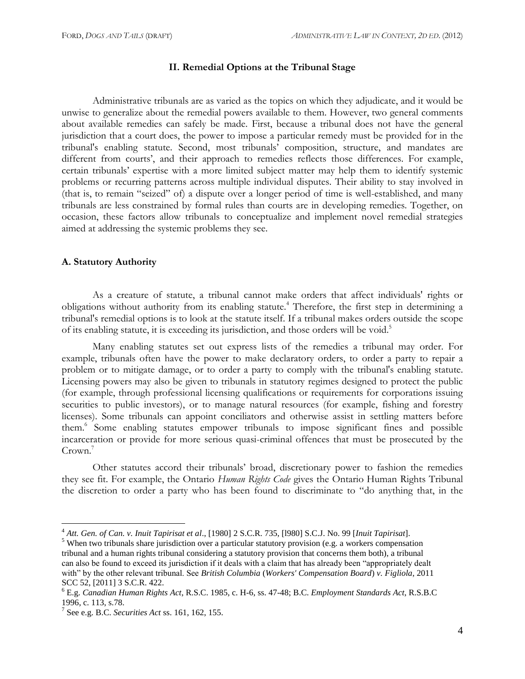#### **II. Remedial Options at the Tribunal Stage**

Administrative tribunals are as varied as the topics on which they adjudicate, and it would be unwise to generalize about the remedial powers available to them. However, two general comments about available remedies can safely be made. First, because a tribunal does not have the general jurisdiction that a court does, the power to impose a particular remedy must be provided for in the tribunal's enabling statute. Second, most tribunals' composition, structure, and mandates are different from courts', and their approach to remedies reflects those differences. For example, certain tribunals' expertise with a more limited subject matter may help them to identify systemic problems or recurring patterns across multiple individual disputes. Their ability to stay involved in (that is, to remain "seized" of) a dispute over a longer period of time is well-established, and many tribunals are less constrained by formal rules than courts are in developing remedies. Together, on occasion, these factors allow tribunals to conceptualize and implement novel remedial strategies aimed at addressing the systemic problems they see.

#### <span id="page-4-0"></span>**A. Statutory Authority**

As a creature of statute, a tribunal cannot make orders that affect individuals' rights or obligations without authority from its enabling statute.<sup>4</sup> Therefore, the first step in determining a tribunal's remedial options is to look at the statute itself. If a tribunal makes orders outside the scope of its enabling statute, it is exceeding its jurisdiction, and those orders will be void.<sup>5</sup>

Many enabling statutes set out express lists of the remedies a tribunal may order. For example, tribunals often have the power to make declaratory orders, to order a party to repair a problem or to mitigate damage, or to order a party to comply with the tribunal's enabling statute. Licensing powers may also be given to tribunals in statutory regimes designed to protect the public (for example, through professional licensing qualifications or requirements for corporations issuing securities to public investors), or to manage natural resources (for example, fishing and forestry licenses). Some tribunals can appoint conciliators and otherwise assist in settling matters before them.<sup>6</sup> Some enabling statutes empower tribunals to impose significant fines and possible incarceration or provide for more serious quasi-criminal offences that must be prosecuted by the  $Crown<sup>7</sup>$ 

Other statutes accord their tribunals' broad, discretionary power to fashion the remedies they see fit. For example, the Ontario *Human Rights Code* gives the Ontario Human Rights Tribunal the discretion to order a party who has been found to discriminate to "do anything that, in the

<sup>4</sup> *Att. Gen. of Can. v. Inuit Tapirisat et al*., [1980] 2 S.C.R. 735, [l980] S.C.J. No. 99 [*Inuit Tapirisat*].

<sup>&</sup>lt;sup>5</sup> When two tribunals share jurisdiction over a particular statutory provision (e.g. a workers compensation tribunal and a human rights tribunal considering a statutory provision that concerns them both), a tribunal can also be found to exceed its jurisdiction if it deals with a claim that has already been "appropriately dealt with" by the other relevant tribunal. See *British Columbia* (*Workers' Compensation Board*) *v. Figliola*, 2011 SCC 52, [2011] 3 S.C.R. 422.

<sup>6</sup> E.g. *Canadian Human Rights Act*, R.S.C. 1985, c. H-6, ss. 47-48; B.C. *Employment Standards Act*, R.S.B.C 1996, c. 113, s.78.

<sup>7</sup> See e.g. B.C. *Securities Act* ss. 161, 162, 155.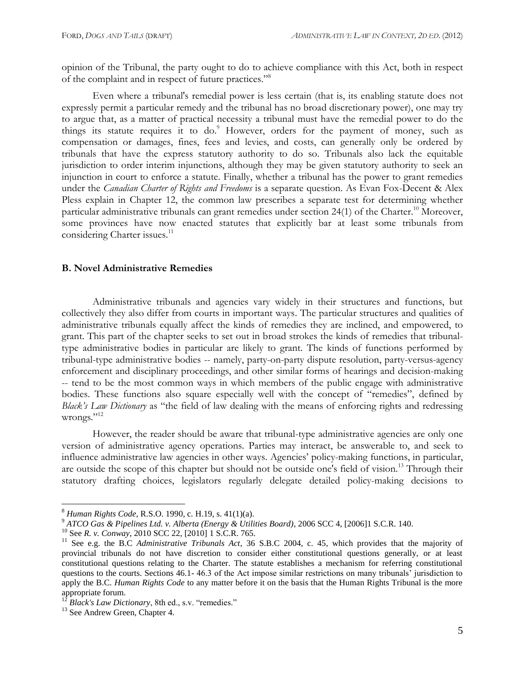opinion of the Tribunal, the party ought to do to achieve compliance with this Act, both in respect of the complaint and in respect of future practices."<sup>8</sup>

Even where a tribunal's remedial power is less certain (that is, its enabling statute does not expressly permit a particular remedy and the tribunal has no broad discretionary power), one may try to argue that, as a matter of practical necessity a tribunal must have the remedial power to do the things its statute requires it to do.<sup>9</sup> However, orders for the payment of money, such as compensation or damages, fines, fees and levies, and costs, can generally only be ordered by tribunals that have the express statutory authority to do so. Tribunals also lack the equitable jurisdiction to order interim injunctions, although they may be given statutory authority to seek an injunction in court to enforce a statute. Finally, whether a tribunal has the power to grant remedies under the *Canadian Charter of Rights and Freedoms* is a separate question. As Evan Fox-Decent & Alex Pless explain in Chapter 12, the common law prescribes a separate test for determining whether particular administrative tribunals can grant remedies under section  $24(1)$  of the Charter.<sup>10</sup> Moreover, some provinces have now enacted statutes that explicitly bar at least some tribunals from considering Charter issues.<sup>11</sup>

# <span id="page-5-0"></span>**B. Novel Administrative Remedies**

Administrative tribunals and agencies vary widely in their structures and functions, but collectively they also differ from courts in important ways. The particular structures and qualities of administrative tribunals equally affect the kinds of remedies they are inclined, and empowered, to grant. This part of the chapter seeks to set out in broad strokes the kinds of remedies that tribunaltype administrative bodies in particular are likely to grant. The kinds of functions performed by tribunal-type administrative bodies -- namely, party-on-party dispute resolution, party-versus-agency enforcement and disciplinary proceedings, and other similar forms of hearings and decision-making -- tend to be the most common ways in which members of the public engage with administrative bodies. These functions also square especially well with the concept of "remedies", defined by *Black's Law Dictionary* as "the field of law dealing with the means of enforcing rights and redressing wrongs." $^{12}$ 

However, the reader should be aware that tribunal-type administrative agencies are only one version of administrative agency operations. Parties may interact, be answerable to, and seek to influence administrative law agencies in other ways. Agencies' policy-making functions, in particular, are outside the scope of this chapter but should not be outside one's field of vision.<sup>13</sup> Through their statutory drafting choices, legislators regularly delegate detailed policy-making decisions to

<sup>8</sup> *Human Rights Code*, R.S.O. 1990, c. H.19, s. 41(1)(a).

<sup>9</sup> *ATCO Gas & Pipelines Ltd. v. Alberta (Energy & Utilities Board)*, 2006 SCC 4, [2006]1 S.C.R. 140.

<sup>10</sup> See *R. v. Conway*, 2010 SCC 22, [2010] 1 S.C.R. 765.

<sup>11</sup> See e.g. the B.C *Administrative Tribunals Act*, 36 S.B.C 2004, c. 45, which provides that the majority of provincial tribunals do not have discretion to consider either constitutional questions generally, or at least constitutional questions relating to the Charter. The statute establishes a mechanism for referring constitutional questions to the courts. Sections 46.1- 46.3 of the Act impose similar restrictions on many tribunals' jurisdiction to apply the B.C. *Human Rights Code* to any matter before it on the basis that the Human Rights Tribunal is the more appropriate forum.

<sup>12</sup> *Black's Law Dictionary*, 8th ed., s.v. "remedies."

<sup>&</sup>lt;sup>13</sup> See Andrew Green, Chapter 4.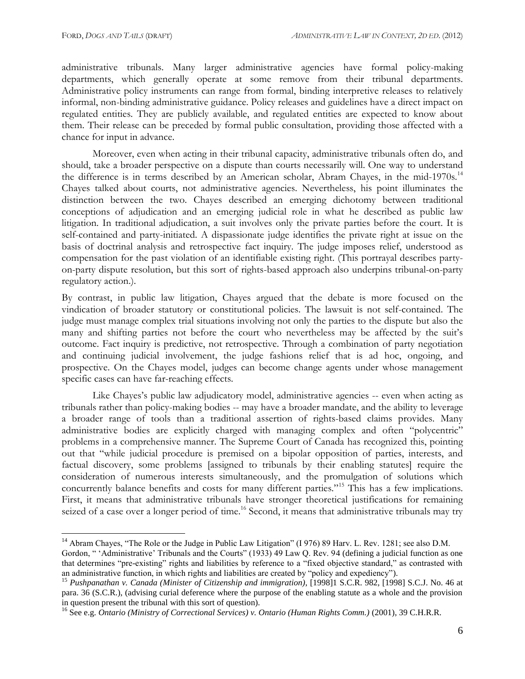$\overline{a}$ 

administrative tribunals. Many larger administrative agencies have formal policy-making departments, which generally operate at some remove from their tribunal departments. Administrative policy instruments can range from formal, binding interpretive releases to relatively informal, non-binding administrative guidance. Policy releases and guidelines have a direct impact on regulated entities. They are publicly available, and regulated entities are expected to know about them. Their release can be preceded by formal public consultation, providing those affected with a chance for input in advance.

Moreover, even when acting in their tribunal capacity, administrative tribunals often do, and should, take a broader perspective on a dispute than courts necessarily will. One way to understand the difference is in terms described by an American scholar, Abram Chayes, in the mid-1970s.<sup>14</sup> Chayes talked about courts, not administrative agencies. Nevertheless, his point illuminates the distinction between the two. Chayes described an emerging dichotomy between traditional conceptions of adjudication and an emerging judicial role in what he described as public law litigation. In traditional adjudication, a suit involves only the private parties before the court. It is self-contained and party-initiated. A dispassionate judge identifies the private right at issue on the basis of doctrinal analysis and retrospective fact inquiry. The judge imposes relief, understood as compensation for the past violation of an identifiable existing right. (This portrayal describes partyon-party dispute resolution, but this sort of rights-based approach also underpins tribunal-on-party regulatory action.).

By contrast, in public law litigation, Chayes argued that the debate is more focused on the vindication of broader statutory or constitutional policies. The lawsuit is not self-contained. The judge must manage complex trial situations involving not only the parties to the dispute but also the many and shifting parties not before the court who nevertheless may be affected by the suit's outcome. Fact inquiry is predictive, not retrospective. Through a combination of party negotiation and continuing judicial involvement, the judge fashions relief that is ad hoc, ongoing, and prospective. On the Chayes model, judges can become change agents under whose management specific cases can have far-reaching effects.

Like Chayes's public law adjudicatory model, administrative agencies -- even when acting as tribunals rather than policy-making bodies -- may have a broader mandate, and the ability to leverage a broader range of tools than a traditional assertion of rights-based claims provides. Many administrative bodies are explicitly charged with managing complex and often "polycentric" problems in a comprehensive manner. The Supreme Court of Canada has recognized this, pointing out that "while judicial procedure is premised on a bipolar opposition of parties, interests, and factual discovery, some problems [assigned to tribunals by their enabling statutes] require the consideration of numerous interests simultaneously, and the promulgation of solutions which concurrently balance benefits and costs for many different parties."<sup>15</sup> This has a few implications. First, it means that administrative tribunals have stronger theoretical justifications for remaining seized of a case over a longer period of time.<sup>16</sup> Second, it means that administrative tribunals may try

<sup>&</sup>lt;sup>14</sup> Abram Chayes, "The Role or the Judge in Public Law Litigation" (1976) 89 Harv. L. Rev. 1281; see also D.M.

Gordon, " 'Administrative' Tribunals and the Courts" (1933) 49 Law Q. Rev. 94 (defining a judicial function as one that determines "pre-existing" rights and liabilities by reference to a "fixed objective standard," as contrasted with an administrative function, in which rights and liabilities are created by "policy and expediency").

<sup>15</sup> *Pushpanathan v. Canada (Minister of Citizenship and immigration)*, [1998]1 S.C.R. 982, [1998] S.C.J. No. 46 at para. 36 (S.C.R.), (advising curial deference where the purpose of the enabling statute as a whole and the provision in question present the tribunal with this sort of question).

<sup>16</sup> See e.g. *Ontario (Ministry of Correctional Services) v. Ontario (Human Rights Comm.)* (2001), 39 C.H.R.R.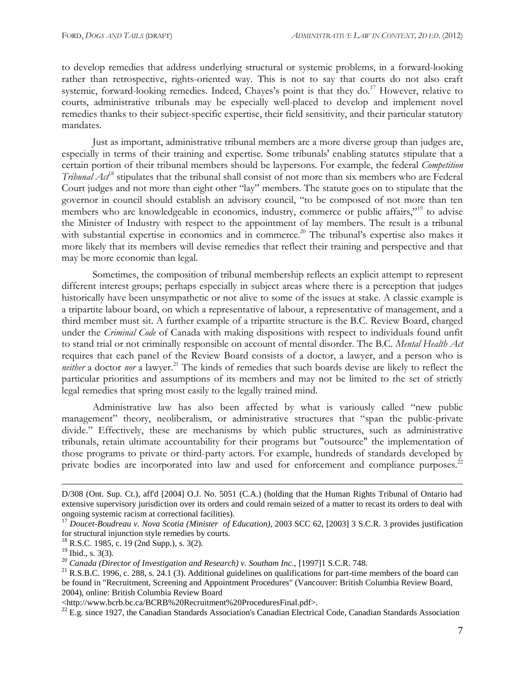to develop remedies that address underlying structural or systemic problems, in a forward-looking rather than retrospective, rights-oriented way. This is not to say that courts do not also craft systemic, forward-looking remedies. Indeed, Chayes's point is that they do.<sup>17</sup> However, relative to courts, administrative tribunals may be especially well-placed to develop and implement novel remedies thanks to their subject-specific expertise, their field sensitivity, and their particular statutory mandates.

Just as important, administrative tribunal members are a more diverse group than judges are, especially in terms of their training and expertise. Some tribunals' enabling statutes stipulate that a certain portion of their tribunal members should be laypersons. For example, the federal *Competition Tribunal Act*<sup>18</sup> stipulates that the tribunal shall consist of not more than six members who are Federal Court judges and not more than eight other "lay" members. The statute goes on to stipulate that the governor in council should establish an advisory council, "to be composed of not more than ten members who are knowledgeable in economics, industry, commerce or public affairs,"<sup>19</sup> to advise the Minister of Industry with respect to the appointment of lay members. The result is a tribunal with substantial expertise in economics and in commerce.<sup>20</sup> The tribunal's expertise also makes it more likely that its members will devise remedies that reflect their training and perspective and that may be more economic than legal.

Sometimes, the composition of tribunal membership reflects an explicit attempt to represent different interest groups; perhaps especially in subject areas where there is a perception that judges historically have been unsympathetic or not alive to some of the issues at stake. A classic example is a tripartite labour board, on which a representative of labour, a representative of management, and a third member must sit. A further example of a tripartite structure is the B.C. Review Board, charged under the *Criminal Code* of Canada with making dispositions with respect to individuals found unfit to stand trial or not criminally responsible on account of mental disorder. The B.C. *Mental Health Act* requires that each panel of the Review Board consists of a doctor, a lawyer, and a person who is *neither* a doctor *nor* a lawyer.<sup>21</sup> The kinds of remedies that such boards devise are likely to reflect the particular priorities and assumptions of its members and may not be limited to the set of strictly legal remedies that spring most easily to the legally trained mind.

Administrative law has also been affected by what is variously called "new public management" theory, neoliberalism, or administrative structures that "span the public-private divide." Effectively, these are mechanisms by which public structures, such as administrative tribunals, retain ultimate accountability for their programs but "outsource" the implementation of those programs to private or third-party actors. For example, hundreds of standards developed by private bodies are incorporated into law and used for enforcement and compliance purposes.<sup>22</sup>

D/308 (Ont. Sup. Ct.), aff'd [2004] O.J. No. 5051 (C.A.) (holding that the Human Rights Tribunal of Ontario had extensive supervisory jurisdiction over its orders and could remain seized of a matter to recast its orders to deal with ongoing systemic racism at correctional facilities).

<sup>17</sup> *Doucet-Boudreau v. Nova Scotia (Minister of Education)*, 2003 SCC 62, [2003] 3 S.C.R. 3 provides justification for structural injunction style remedies by courts.

<sup>18</sup> R.S.C. 1985, c. 19 (2nd Supp.), s. 3(2).

 $19$  Ibid., s. 3(3).

<sup>20</sup> *Canada (Director of Investigation and Research) v. Southam Inc.,* [1997]1 S.C.R. 748.

<sup>&</sup>lt;sup>21</sup> R.S.B.C. 1996, c. 288, s. 24.1 (3). Additional guidelines on qualifications for part-time members of the board can be found in "Recruitment, Screening and Appointment Procedures" (Vancouver: British Columbia Review Board, 2004), online: British Columbia Review Board

<sup>&</sup>lt;http://www.bcrb.bc.ca/BCRB%20Recruitment%20ProceduresFinal.pdf>.

 $^{22}$  E.g. since 1927, the Canadian Standards Association's Canadian Electrical Code, Canadian Standards Association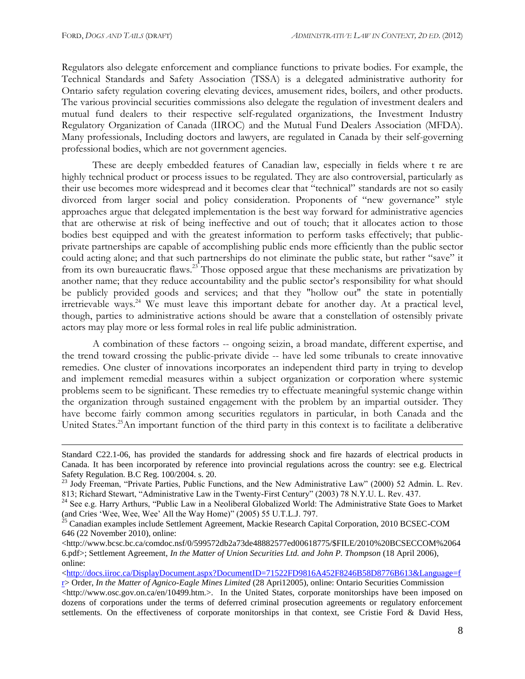$\overline{a}$ 

Regulators also delegate enforcement and compliance functions to private bodies. For example, the Technical Standards and Safety Association (TSSA) is a delegated administrative authority for Ontario safety regulation covering elevating devices, amusement rides, boilers, and other products. The various provincial securities commissions also delegate the regulation of investment dealers and mutual fund dealers to their respective self-regulated organizations, the Investment Industry Regulatory Organization of Canada (IIROC) and the Mutual Fund Dealers Association (MFDA). Many professionals, Including doctors and lawyers, are regulated in Canada by their self-governing professional bodies, which are not government agencies.

These are deeply embedded features of Canadian law, especially in fields where t re are highly technical product or process issues to be regulated. They are also controversial, particularly as their use becomes more widespread and it becomes clear that "technical" standards are not so easily divorced from larger social and policy consideration. Proponents of "new governance" style approaches argue that delegated implementation is the best way forward for administrative agencies that are otherwise at risk of being ineffective and out of touch; that it allocates action to those bodies best equipped and with the greatest information to perform tasks effectively; that publicprivate partnerships are capable of accomplishing public ends more efficiently than the public sector could acting alone; and that such partnerships do not eliminate the public state, but rather "save" it from its own bureaucratic flaws.<sup>23</sup> Those opposed argue that these mechanisms are privatization by another name; that they reduce accountability and the public sector's responsibility for what should be publicly provided goods and services; and that they "hollow out" the state in potentially irretrievable ways.<sup>24</sup> We must leave this important debate for another day. At a practical level, though, parties to administrative actions should be aware that a constellation of ostensibly private actors may play more or less formal roles in real life public administration.

A combination of these factors -- ongoing seizin, a broad mandate, different expertise, and the trend toward crossing the public-private divide -- have led some tribunals to create innovative remedies. One cluster of innovations incorporates an independent third party in trying to develop and implement remedial measures within a subject organization or corporation where systemic problems seem to be significant. These remedies try to effectuate meaningful systemic change within the organization through sustained engagement with the problem by an impartial outsider. They have become fairly common among securities regulators in particular, in both Canada and the United States.<sup>25</sup>An important function of the third party in this context is to facilitate a deliberative

[<http://docs.iiroc.ca/DisplayDocument.aspx?DocumentID=71522FD9816A452F8246B58D8776B613&Language=f](http://docs.iiroc.ca/DisplayDocument.aspx?DocumentID=71522FD9816A452F8246B58D8776B613&Language=fr)

Standard C22.1-06, has provided the standards for addressing shock and fire hazards of electrical products in Canada. It has been incorporated by reference into provincial regulations across the country: see e.g. Electrical Safety Regulation. B.C Reg. 100/2004. s. 20.

<sup>&</sup>lt;sup>23</sup> Jody Freeman, "Private Parties, Public Functions, and the New Administrative Law" (2000) 52 Admin. L. Rev. 813; Richard Stewart, "Administrative Law in the Twenty-First Century" (2003) 78 N.Y.U. L. Rev. 437.

<sup>&</sup>lt;sup>24</sup> See e.g. Harry Arthurs, "Public Law in a Neoliberal Globalized World: The Administrative State Goes to Market (and Cries 'Wee, Wee, Wee' All the Way Home)" (2005) 55 U.T.L.J. 797.

<sup>&</sup>lt;sup>25</sup> Canadian examples include Settlement Agreement, Mackie Research Capital Corporation, 2010 BCSEC-COM 646 (22 November 2010), online:

<sup>&</sup>lt;http://www.bcsc.bc.ca/comdoc.nsf/0/599572db2a73de48882577ed00618775/\$FILE/2010%20BCSECCOM%2064 6.pdf>; Settlement Agreement, *In the Matter of Union Securities Ltd. and John P. Thompson* (18 April 2006), online:

[r>](http://docs.iiroc.ca/DisplayDocument.aspx?DocumentID=71522FD9816A452F8246B58D8776B613&Language=fr) Order, *In the Matter of Agnico-Eagle Mines Limited* (28 Apri12005), online: Ontario Securities Commission <http://www.osc.gov.on.ca/en/10499.htm.>. In the United States, corporate monitorships have been imposed on dozens of corporations under the terms of deferred criminal prosecution agreements or regulatory enforcement settlements. On the effectiveness of corporate monitorships in that context, see Cristie Ford & David Hess,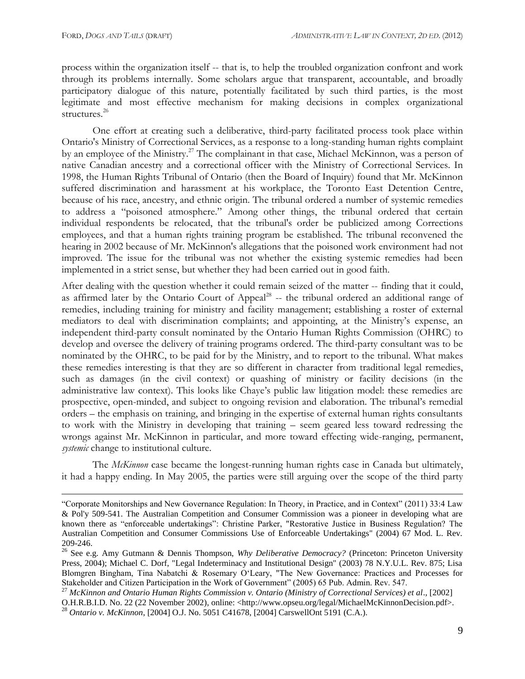$\overline{a}$ 

process within the organization itself -- that is, to help the troubled organization confront and work through its problems internally. Some scholars argue that transparent, accountable, and broadly participatory dialogue of this nature, potentially facilitated by such third parties, is the most legitimate and most effective mechanism for making decisions in complex organizational structures.<sup>26</sup>

One effort at creating such a deliberative, third-party facilitated process took place within Ontario's Ministry of Correctional Services, as a response to a long-standing human rights complaint by an employee of the Ministry.<sup>27</sup> The complainant in that case, Michael McKinnon, was a person of native Canadian ancestry and a correctional officer with the Ministry of Correctional Services. In 1998, the Human Rights Tribunal of Ontario (then the Board of Inquiry) found that Mr. McKinnon suffered discrimination and harassment at his workplace, the Toronto East Detention Centre, because of his race, ancestry, and ethnic origin. The tribunal ordered a number of systemic remedies to address a "poisoned atmosphere." Among other things, the tribunal ordered that certain individual respondents be relocated, that the tribunal's order be publicized among Corrections employees, and that a human rights training program be established. The tribunal reconvened the hearing in 2002 because of Mr. McKinnon's allegations that the poisoned work environment had not improved. The issue for the tribunal was not whether the existing systemic remedies had been implemented in a strict sense, but whether they had been carried out in good faith.

After dealing with the question whether it could remain seized of the matter -- finding that it could, as affirmed later by the Ontario Court of Appeal<sup>28</sup> -- the tribunal ordered an additional range of remedies, including training for ministry and facility management; establishing a roster of external mediators to deal with discrimination complaints; and appointing, at the Ministry's expense, an independent third-party consult nominated by the Ontario Human Rights Commission (OHRC) to develop and oversee the delivery of training programs ordered. The third-party consultant was to be nominated by the OHRC, to be paid for by the Ministry, and to report to the tribunal. What makes these remedies interesting is that they are so different in character from traditional legal remedies, such as damages (in the civil context) or quashing of ministry or facility decisions (in the administrative law context). This looks like Chaye's public law litigation model: these remedies are prospective, open-minded, and subject to ongoing revision and elaboration. The tribunal's remedial orders – the emphasis on training, and bringing in the expertise of external human rights consultants to work with the Ministry in developing that training – seem geared less toward redressing the wrongs against Mr. McKinnon in particular, and more toward effecting wide-ranging, permanent, *systemic* change to institutional culture.

The *McKinnon* case became the longest-running human rights case in Canada but ultimately, it had a happy ending. In May 2005, the parties were still arguing over the scope of the third party

<sup>&</sup>quot;Corporate Monitorships and New Governance Regulation: In Theory, in Practice, and in Context" (2011) 33:4 Law & Pol'y 509-541. The Australian Competition and Consumer Commission was a pioneer in developing what are known there as "enforceable undertakings": Christine Parker, "Restorative Justice in Business Regulation? The Australian Competition and Consumer Commissions Use of Enforceable Undertakings" (2004) 67 Mod. L. Rev. 209-246.

<sup>&</sup>lt;sup>26</sup> See e.g. Amy Gutmann & Dennis Thompson, *Why Deliberative Democracy?* (Princeton: Princeton University Press, 2004); Michael C. Dorf, "Legal Indeterminacy and Institutional Design" (2003) 78 N.Y.U.L. Rev. 875; Lisa Blomgren Bingham, Tina Nabatchi & Rosemary O'Leary, "The New Governance: Practices and Processes for Stakeholder and Citizen Participation in the Work of Government" (2005) 65 Pub. Admin. Rev. 547.

<sup>27</sup> *McKinnon and Ontario Human Rights Commission v. Ontario (Ministry of Correctional Services) et al*., [2002] O.H.R.B.I.D. No. 22 (22 November 2002), online: <http://www.opseu.org/legal/MichaelMcKinnonDecision.pdf>.

<sup>28</sup> *Ontario v. McKinnon*, [2004] O.J. No. 5051 C41678, [2004] CarswellOnt 5191 (C.A.).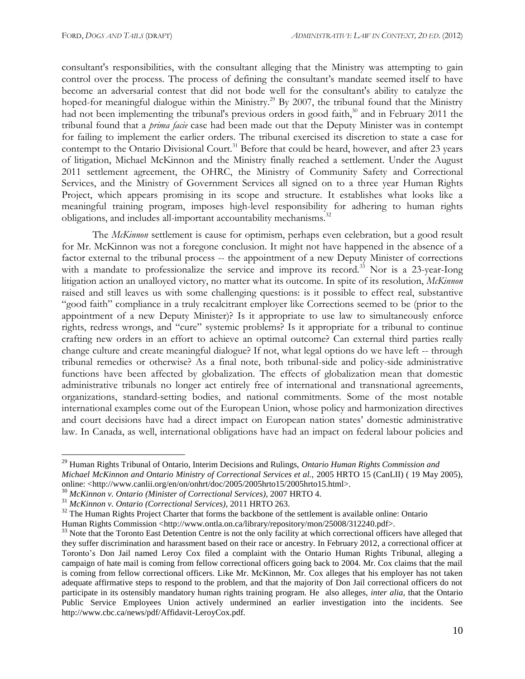consultant's responsibilities, with the consultant alleging that the Ministry was attempting to gain control over the process. The process of defining the consultant's mandate seemed itself to have become an adversarial contest that did not bode well for the consultant's ability to catalyze the hoped-for meaningful dialogue within the Ministry.<sup>29</sup> By 2007, the tribunal found that the Ministry had not been implementing the tribunal's previous orders in good faith,<sup>30</sup> and in February 2011 the tribunal found that a *prima facie* case had been made out that the Deputy Minister was in contempt for failing to implement the earlier orders. The tribunal exercised its discretion to state a case for contempt to the Ontario Divisional Court.<sup>31</sup> Before that could be heard, however, and after 23 years of litigation, Michael McKinnon and the Ministry finally reached a settlement. Under the August 2011 settlement agreement, the OHRC, the Ministry of Community Safety and Correctional Services, and the Ministry of Government Services all signed on to a three year Human Rights Project, which appears promising in its scope and structure. It establishes what looks like a meaningful training program, imposes high-level responsibility for adhering to human rights obligations, and includes all-important accountability mechanisms.<sup>32</sup>

The *McKinnon* settlement is cause for optimism, perhaps even celebration, but a good result for Mr. McKinnon was not a foregone conclusion. It might not have happened in the absence of a factor external to the tribunal process -- the appointment of a new Deputy Minister of corrections with a mandate to professionalize the service and improve its record.<sup>33</sup> Nor is a 23-year-Iong litigation action an unalloyed victory, no matter what its outcome. In spite of its resolution, *McKinnon* raised and still leaves us with some challenging questions: is it possible to effect real, substantive "good faith" compliance in a truly recalcitrant employer like Corrections seemed to be (prior to the appointment of a new Deputy Minister)? Is it appropriate to use law to simultaneously enforce rights, redress wrongs, and "cure" systemic problems? Is it appropriate for a tribunal to continue crafting new orders in an effort to achieve an optimal outcome? Can external third parties really change culture and create meaningful dialogue? If not, what legal options do we have left -- through tribunal remedies or otherwise? As a final note, both tribunal-side and policy-side administrative functions have been affected by globalization. The effects of globalization mean that domestic administrative tribunals no longer act entirely free of international and transnational agreements, organizations, standard-setting bodies, and national commitments. Some of the most notable international examples come out of the European Union, whose policy and harmonization directives and court decisions have had a direct impact on European nation states' domestic administrative law. In Canada, as well, international obligations have had an impact on federal labour policies and

<sup>29</sup> Human Rights Tribunal of Ontario, Interim Decisions and Rulings, *Ontario Human Rights Commission and Michael McKinnon and Ontario Ministry of Correctional Services et al.,* 2005 HRTO 15 (CanLII) ( 19 May 2005), online: <http://www.canlii.org/en/on/onhrt/doc/2005/2005hrto15/2005hrto15.html>.

<sup>30</sup> *McKinnon v. Ontario (Minister of Correctional Services)*, 2007 HRTO 4.

<sup>31</sup> *McKinnon v. Ontario (Correctional Services)*, 2011 HRTO 263.

<sup>&</sup>lt;sup>32</sup> The Human Rights Project Charter that forms the backbone of the settlement is available online: Ontario

Human Rights Commission <http://www.ontla.on.ca/library/repository/mon/25008/312240.pdf>.

<sup>&</sup>lt;sup>33</sup> Note that the Toronto East Detention Centre is not the only facility at which correctional officers have alleged that they suffer discrimination and harassment based on their race or ancestry. In February 2012, a correctional officer at Toronto's Don Jail named Leroy Cox filed a complaint with the Ontario Human Rights Tribunal, alleging a campaign of hate mail is coming from fellow correctional officers going back to 2004. Mr. Cox claims that the mail is coming from fellow correctional officers. Like Mr. McKinnon, Mr. Cox alleges that his employer has not taken adequate affirmative steps to respond to the problem, and that the majority of Don Jail correctional officers do not participate in its ostensibly mandatory human rights training program. He also alleges, *inter alia*, that the Ontario Public Service Employees Union actively undermined an earlier investigation into the incidents. See http://www.cbc.ca/news/pdf/Affidavit-LeroyCox.pdf.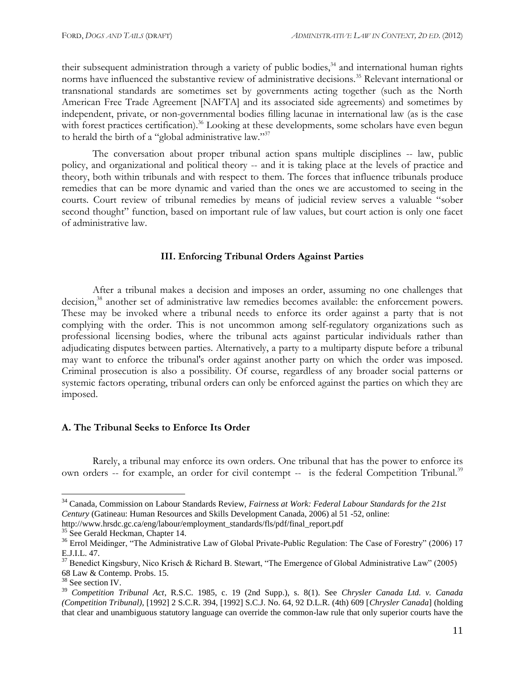their subsequent administration through a variety of public bodies,<sup>34</sup> and international human rights norms have influenced the substantive review of administrative decisions.<sup>35</sup> Relevant international or transnational standards are sometimes set by governments acting together (such as the North American Free Trade Agreement [NAFTA] and its associated side agreements) and sometimes by independent, private, or non-governmental bodies filling lacunae in international law (as is the case with forest practices certification).<sup>36</sup> Looking at these developments, some scholars have even begun to herald the birth of a "global administrative law."<sup>37</sup>

The conversation about proper tribunal action spans multiple disciplines -- law, public policy, and organizational and political theory -- and it is taking place at the levels of practice and theory, both within tribunals and with respect to them. The forces that influence tribunals produce remedies that can be more dynamic and varied than the ones we are accustomed to seeing in the courts. Court review of tribunal remedies by means of judicial review serves a valuable "sober second thought" function, based on important rule of law values, but court action is only one facet of administrative law.

# **III. Enforcing Tribunal Orders Against Parties**

<span id="page-11-0"></span>After a tribunal makes a decision and imposes an order, assuming no one challenges that decision,<sup>38</sup> another set of administrative law remedies becomes available: the enforcement powers. These may be invoked where a tribunal needs to enforce its order against a party that is not complying with the order. This is not uncommon among self-regulatory organizations such as professional licensing bodies, where the tribunal acts against particular individuals rather than adjudicating disputes between parties. Alternatively, a party to a multiparty dispute before a tribunal may want to enforce the tribunal's order against another party on which the order was imposed. Criminal prosecution is also a possibility. Of course, regardless of any broader social patterns or systemic factors operating, tribunal orders can only be enforced against the parties on which they are imposed.

# <span id="page-11-1"></span>**A. The Tribunal Seeks to Enforce Its Order**

Rarely, a tribunal may enforce its own orders. One tribunal that has the power to enforce its own orders -- for example, an order for civil contempt -- is the federal Competition Tribunal.<sup>39</sup>

<sup>34</sup> Canada, Commission on Labour Standards Review, *Fairness at Work: Federal Labour Standards for the 21st Century* (Gatineau: Human Resources and Skills Development Canada, 2006) al 51 -52, online:

http://www.hrsdc.gc.ca/eng/labour/employment\_standards/fls/pdf/final\_report.pdf

<sup>&</sup>lt;sup>35</sup> See Gerald Heckman, Chapter 14.

<sup>&</sup>lt;sup>36</sup> Errol Meidinger, "The Administrative Law of Global Private-Public Regulation: The Case of Forestry" (2006) 17 E.J.I.L. 47.

<sup>&</sup>lt;sup>37</sup> Benedict Kingsbury, Nico Krisch & Richard B. Stewart, "The Emergence of Global Administrative Law" (2005) 68 Law & Contemp. Probs. 15.

<sup>&</sup>lt;sup>38</sup> See section IV.

<sup>39</sup> *Competition Tribunal Act*, R.S.C. 1985, c. 19 (2nd Supp.), s. 8(1). See *Chrysler Canada Ltd. v. Canada (Competition Tribunal)*, [1992] 2 S.C.R. 394, [1992] S.C.J. No. 64, 92 D.L.R. (4th) 609 [*Chrysler Canada*] (holding that clear and unambiguous statutory language can override the common-law rule that only superior courts have the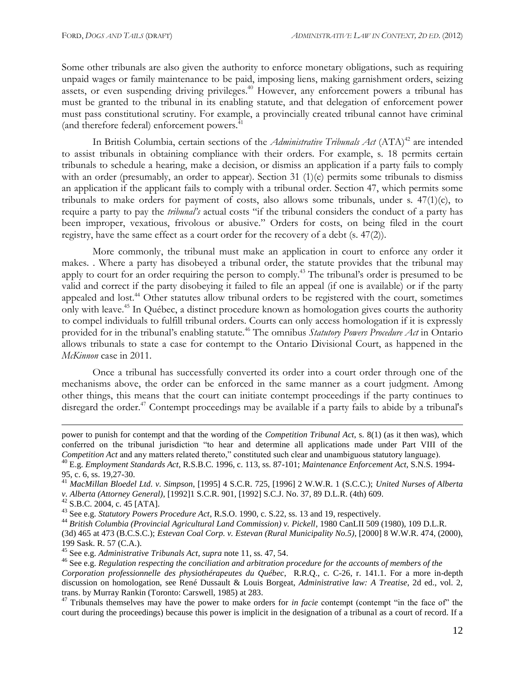Some other tribunals are also given the authority to enforce monetary obligations, such as requiring unpaid wages or family maintenance to be paid, imposing liens, making garnishment orders, seizing assets, or even suspending driving privileges.<sup>40</sup> However, any enforcement powers a tribunal has must be granted to the tribunal in its enabling statute, and that delegation of enforcement power must pass constitutional scrutiny. For example, a provincially created tribunal cannot have criminal (and therefore federal) enforcement powers.<sup>41</sup>

In British Columbia, certain sections of the *Administrative Tribunals Act* (ATA)<sup>42</sup> are intended to assist tribunals in obtaining compliance with their orders. For example, s. 18 permits certain tribunals to schedule a hearing, make a decision, or dismiss an application if a party fails to comply with an order (presumably, an order to appear). Section 31 (1)(e) permits some tribunals to dismiss an application if the applicant fails to comply with a tribunal order. Section 47, which permits some tribunals to make orders for payment of costs, also allows some tribunals, under s. 47(1)(c), to require a party to pay the *tribunal's* actual costs "if the tribunal considers the conduct of a party has been improper, vexatious, frivolous or abusive." Orders for costs, on being filed in the court registry, have the same effect as a court order for the recovery of a debt (s. 47(2)).

More commonly, the tribunal must make an application in court to enforce any order it makes. . Where a party has disobeyed a tribunal order, the statute provides that the tribunal may apply to court for an order requiring the person to comply.<sup>43</sup> The tribunal's order is presumed to be valid and correct if the party disobeying it failed to file an appeal (if one is available) or if the party appealed and lost.<sup>44</sup> Other statutes allow tribunal orders to be registered with the court, sometimes only with leave.<sup>45</sup> In Québec, a distinct procedure known as homologation gives courts the authority to compel individuals to fulfill tribunal orders. Courts can only access homologation if it is expressly provided for in the tribunal's enabling statute.<sup>46</sup> The omnibus *Statutory Powers Procedure Act* in Ontario allows tribunals to state a case for contempt to the Ontario Divisional Court, as happened in the *McKinnon* case in 2011.

Once a tribunal has successfully converted its order into a court order through one of the mechanisms above, the order can be enforced in the same manner as a court judgment. Among other things, this means that the court can initiate contempt proceedings if the party continues to disregard the order.<sup>47</sup> Contempt proceedings may be available if a party fails to abide by a tribunal's

power to punish for contempt and that the wording of the *Competition Tribunal Act*, s. 8(1) (as it then was), which conferred on the tribunal jurisdiction "to hear and determine all applications made under Part VIII of the *Competition Act* and any matters related thereto," constituted such clear and unambiguous statutory language). <sup>40</sup> E.g. *Employment Standards Act*, R.S.B.C. 1996, c. 113, ss. 87-101; *Maintenance Enforcement Act*, S.N.S. 1994-

<sup>95,</sup> c. 6, ss. 19,27-30.

<sup>41</sup> *MacMillan Bloedel Ltd. v. Simpson*, [1995] 4 S.C.R. 725, [1996] 2 W.W.R. 1 (S.C.C.); *United Nurses of Alberta v. Alberta (Attorney General)*, [1992]1 S.C.R. 901, [1992] S.C.J. No. 37, 89 D.L.R. (4th) 609.

 $^{42}$  S.B.C. 2004, c. 45 [ATA].

<sup>43</sup> See e.g. *Statutory Powers Procedure Act*, R.S.O. 1990, c. S.22, ss. 13 and 19, respectively.

<sup>&</sup>lt;sup>44</sup> British Columbia (Provincial Agricultural Land Commission) v. Pickell, 1980 CanLII 509 (1980), 109 D.L.R. (3d) 465 at 473 (B.C.S.C.); *Estevan Coal Corp. v. Estevan (Rural Municipality No.5)*, [2000] 8 W.W.R. 474, (2000),

<sup>199</sup> Sask. R. 57 (C.A.).

<sup>45</sup> See e.g. *Administrative Tribunals Act*, *supra* note 11, ss. 47, 54.

<sup>46</sup> See e.g. *Regulation respecting the conciliation and arbitration procedure for the accounts of members of the Corporation professionnelle des physiothérapeutes du Québec*, R.R.Q., c. C-26, r. 141.1. For a more in-depth discussion on homologation, see René Dussault & Louis Borgeat, *Administrative law: A Treatise*, 2d ed., vol. 2, trans. by Murray Rankin (Toronto: Carswell, 1985) at 283.

<sup>&</sup>lt;sup>47</sup> Tribunals themselves may have the power to make orders for *in facie* contempt (contempt "in the face of" the court during the proceedings) because this power is implicit in the designation of a tribunal as a court of record. If a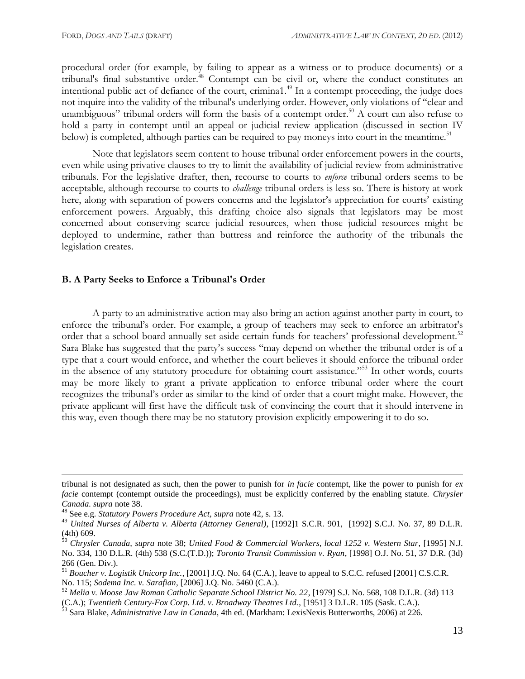procedural order (for example, by failing to appear as a witness or to produce documents) or a tribunal's final substantive order.<sup>48</sup> Contempt can be civil or, where the conduct constitutes an intentional public act of defiance of the court, crimina1.<sup>49</sup> In a contempt proceeding, the judge does not inquire into the validity of the tribunal's underlying order. However, only violations of "clear and unambiguous" tribunal orders will form the basis of a contempt order.<sup>50</sup> A court can also refuse to hold a party in contempt until an appeal or judicial review application (discussed in section IV below) is completed, although parties can be required to pay moneys into court in the meantime.<sup>51</sup>

Note that legislators seem content to house tribunal order enforcement powers in the courts, even while using privative clauses to try to limit the availability of judicial review from administrative tribunals. For the legislative drafter, then, recourse to courts to *enforce* tribunal orders seems to be acceptable, although recourse to courts to *challenge* tribunal orders is less so. There is history at work here, along with separation of powers concerns and the legislator's appreciation for courts' existing enforcement powers. Arguably, this drafting choice also signals that legislators may be most concerned about conserving scarce judicial resources, when those judicial resources might be deployed to undermine, rather than buttress and reinforce the authority of the tribunals the legislation creates.

#### <span id="page-13-0"></span>**B. A Party Seeks to Enforce a Tribunal's Order**

A party to an administrative action may also bring an action against another party in court, to enforce the tribunal's order. For example, a group of teachers may seek to enforce an arbitrator's order that a school board annually set aside certain funds for teachers' professional development.<sup>52</sup> Sara Blake has suggested that the party's success "may depend on whether the tribunal order is of a type that a court would enforce, and whether the court believes it should enforce the tribunal order in the absence of any statutory procedure for obtaining court assistance."<sup>53</sup> In other words, courts may be more likely to grant a private application to enforce tribunal order where the court recognizes the tribunal's order as similar to the kind of order that a court might make. However, the private applicant will first have the difficult task of convincing the court that it should intervene in this way, even though there may be no statutory provision explicitly empowering it to do so.

tribunal is not designated as such, then the power to punish for *in facie* contempt, like the power to punish for *ex facie* contempt (contempt outside the proceedings), must be explicitly conferred by the enabling statute. *Chrysler Canada. supra* note 38.

<sup>48</sup> See e.g. *Statutory Powers Procedure Act, supra* note 42, s. 13.

<sup>49</sup> *United Nurses of Alberta v. Alberta (Attorney General)*, [1992]1 S.C.R. 901, [1992] S.C.J. No. 37, 89 D.L.R. (4th) 609.

<sup>50</sup> *Chrysler Canada, supra* note 38; *United Food & Commercial Workers, local 1252 v. Western Star*, [1995] N.J. No. 334, 130 D.L.R. (4th) 538 (S.C.(T.D.)); *Toronto Transit Commission v. Ryan*, [1998] O.J. No. 51, 37 D.R. (3d) 266 (Gen. Div.).

<sup>51</sup> *Boucher v. Logistik Unicorp Inc.*, [2001] J.Q. No. 64 (C.A.), leave to appeal to S.C.C. refused [2001] C.S.C.R. No. 115; *Sodema Inc. v. Sarafian*, [2006] J.Q. No. 5460 (C.A.).

<sup>52</sup> *Melia v. Moose Jaw Roman Catholic Separate School District No. 22*, [1979] S.J. No. 568, 108 D.L.R. (3d) 113 (C.A.); *Twentieth Century-Fox Corp. Ltd. v. Broadway Theatres Ltd.*, [1951] 3 D.L.R. 105 (Sask. C.A.).

<sup>53</sup> Sara Blake, *Administrative Law in Canada*, 4th ed. (Markham: LexisNexis Butterworths, 2006) at 226.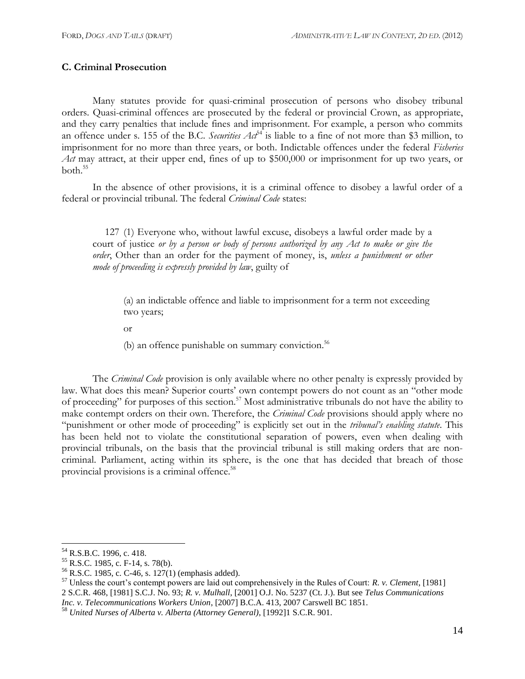# <span id="page-14-0"></span>**C. Criminal Prosecution**

Many statutes provide for quasi-criminal prosecution of persons who disobey tribunal orders. Quasi-criminal offences are prosecuted by the federal or provincial Crown, as appropriate, and they carry penalties that include fines and imprisonment. For example, a person who commits an offence under s. 155 of the B.C. *Securities Act*<sup>54</sup> is liable to a fine of not more than \$3 million, to imprisonment for no more than three years, or both. Indictable offences under the federal *Fisheries Act* may attract, at their upper end, fines of up to \$500,000 or imprisonment for up two years, or  $both.<sup>55</sup>$ 

In the absence of other provisions, it is a criminal offence to disobey a lawful order of a federal or provincial tribunal. The federal *Criminal Code* states:

127 (1) Everyone who, without lawful excuse, disobeys a lawful order made by a court of justice *or by a person or body of persons authorized by any Act to make or give the order*, Other than an order for the payment of money, is, *unless a punishment or other mode of proceeding is expressly provided by law*, guilty of

 (a) an indictable offence and liable to imprisonment for a term not exceeding two years;

or

 $(b)$  an offence punishable on summary conviction.<sup>56</sup>

The *Criminal Code* provision is only available where no other penalty is expressly provided by law. What does this mean? Superior courts' own contempt powers do not count as an "other mode of proceeding" for purposes of this section.<sup>57</sup> Most administrative tribunals do not have the ability to make contempt orders on their own. Therefore, the *Criminal Code* provisions should apply where no "punishment or other mode of proceeding" is explicitly set out in the *tribunal's enabling statute*. This has been held not to violate the constitutional separation of powers, even when dealing with provincial tribunals, on the basis that the provincial tribunal is still making orders that are noncriminal. Parliament, acting within its sphere, is the one that has decided that breach of those provincial provisions is a criminal offence.<sup>58</sup>

<span id="page-14-1"></span><sup>&</sup>lt;sup>54</sup> R.S.B.C. 1996, c. 418.

<sup>55</sup> R.S.C. 1985, c. F-14, s. 78(b).

<sup>&</sup>lt;sup>56</sup> R.S.C. 1985, c. C-46, s. 127(1) (emphasis added).

<sup>57</sup> Unless the court's contempt powers are laid out comprehensively in the Rules of Court: *R. v. Clement*, [1981] 2 S.C.R. 468, [1981] S.C.J. No. 93; *R. v. Mulhall*, [2001] O.J. No. 5237 (Ct. J.). But see *Telus Communications Inc. v. Telecommunications Workers Union*, [2007] B.C.A. 413, 2007 Carswell BC 1851.

<sup>58</sup> *United Nurses of Alberta v. Alberta (Attorney General)*, [1992]1 S.C.R. 901.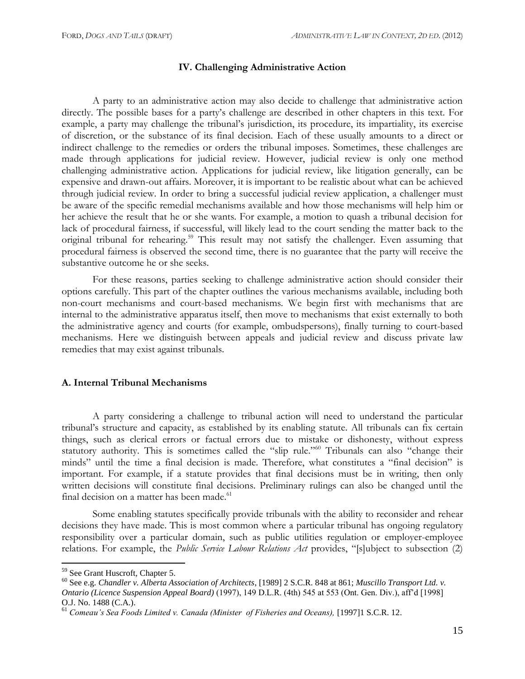# **IV. Challenging Administrative Action**

A party to an administrative action may also decide to challenge that administrative action directly. The possible bases for a party's challenge are described in other chapters in this text. For example, a party may challenge the tribunal's jurisdiction, its procedure, its impartiality, its exercise of discretion, or the substance of its final decision. Each of these usually amounts to a direct or indirect challenge to the remedies or orders the tribunal imposes. Sometimes, these challenges are made through applications for judicial review. However, judicial review is only one method challenging administrative action. Applications for judicial review, like litigation generally, can be expensive and drawn-out affairs. Moreover, it is important to be realistic about what can be achieved through judicial review. In order to bring a successful judicial review application, a challenger must be aware of the specific remedial mechanisms available and how those mechanisms will help him or her achieve the result that he or she wants. For example, a motion to quash a tribunal decision for lack of procedural fairness, if successful, will likely lead to the court sending the matter back to the original tribunal for rehearing.<sup>59</sup> This result may not satisfy the challenger. Even assuming that procedural fairness is observed the second time, there is no guarantee that the party will receive the substantive outcome he or she seeks.

For these reasons, parties seeking to challenge administrative action should consider their options carefully. This part of the chapter outlines the various mechanisms available, including both non-court mechanisms and court-based mechanisms. We begin first with mechanisms that are internal to the administrative apparatus itself, then move to mechanisms that exist externally to both the administrative agency and courts (for example, ombudspersons), finally turning to court-based mechanisms. Here we distinguish between appeals and judicial review and discuss private law remedies that may exist against tribunals.

# <span id="page-15-0"></span>**A. Internal Tribunal Mechanisms**

A party considering a challenge to tribunal action will need to understand the particular tribunal's structure and capacity, as established by its enabling statute. All tribunals can fix certain things, such as clerical errors or factual errors due to mistake or dishonesty, without express statutory authority. This is sometimes called the "slip rule."<sup>60</sup> Tribunals can also "change their minds" until the time a final decision is made. Therefore, what constitutes a "final decision" is important. For example, if a statute provides that final decisions must be in writing, then only written decisions will constitute final decisions. Preliminary rulings can also be changed until the final decision on a matter has been made.<sup>61</sup>

Some enabling statutes specifically provide tribunals with the ability to reconsider and rehear decisions they have made. This is most common where a particular tribunal has ongoing regulatory responsibility over a particular domain, such as public utilities regulation or employer-employee relations. For example, the *Public Service Labour Relations Act* provides, "[s]ubject to subsection (2)

<sup>&</sup>lt;sup>59</sup> See Grant Huscroft, Chapter 5.

<sup>60</sup> See e.g. *Chandler v. Alberta Association of Architects*, [1989] 2 S.C.R. 848 at 861; *Muscillo Transport Ltd. v. Ontario (Licence Suspension Appeal Board)* (1997), 149 D.L.R. (4th) 545 at 553 (Ont. Gen. Div.), aff'd [1998] O.J. No. 1488 (C.A.).

<sup>61</sup> *Comeau's Sea Foods Limited v. Canada (Minister of Fisheries and Oceans),* [1997]1 S.C.R. 12.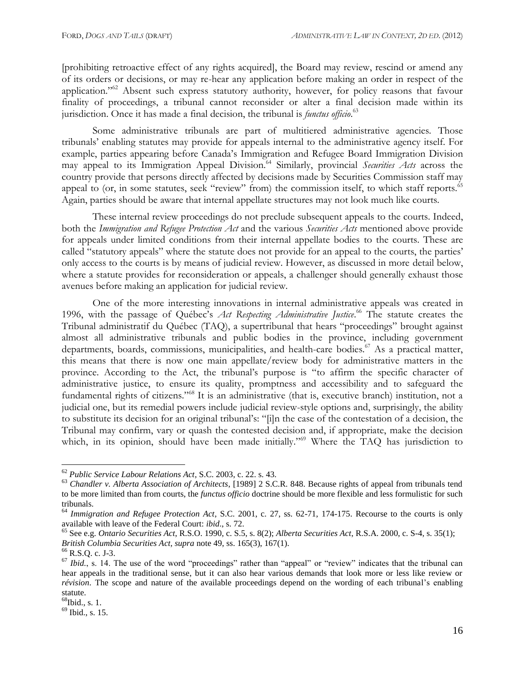[prohibiting retroactive effect of any rights acquired], the Board may review, rescind or amend any of its orders or decisions, or may re-hear any application before making an order in respect of the application."<sup>62</sup> Absent such express statutory authority, however, for policy reasons that favour finality of proceedings, a tribunal cannot reconsider or alter a final decision made within its jurisdiction. Once it has made a final decision, the tribunal is *functus officio*. 63

Some administrative tribunals are part of multitiered administrative agencies. Those tribunals' enabling statutes may provide for appeals internal to the administrative agency itself. For example, parties appearing before Canada's Immigration and Refugee Board Immigration Division may appeal to its Immigration Appeal Division.<sup>64</sup> Similarly, provincial *Securities Acts* across the country provide that persons directly affected by decisions made by Securities Commission staff may appeal to (or, in some statutes, seek "review" from) the commission itself, to which staff reports.<sup>65</sup> Again, parties should be aware that internal appellate structures may not look much like courts.

These internal review proceedings do not preclude subsequent appeals to the courts. Indeed, both the *Immigration and Refugee Protection Act* and the various *Securities Acts* mentioned above provide for appeals under limited conditions from their internal appellate bodies to the courts. These are called "statutory appeals" where the statute does not provide for an appeal to the courts, the parties' only access to the courts is by means of judicial review. However, as discussed in more detail below, where a statute provides for reconsideration or appeals, a challenger should generally exhaust those avenues before making an application for judicial review.

One of the more interesting innovations in internal administrative appeals was created in 1996, with the passage of Québec's *Act Respecting Administrative Justice*. <sup>66</sup> The statute creates the Tribunal administratif du Québec (TAQ), a supertribunal that hears "proceedings" brought against almost all administrative tribunals and public bodies in the province, including government departments, boards, commissions, municipalities, and health-care bodies.<sup> $67$ </sup> As a practical matter, this means that there is now one main appellate/review body for administrative matters in the province. According to the Act, the tribunal's purpose is "to affirm the specific character of administrative justice, to ensure its quality, promptness and accessibility and to safeguard the fundamental rights of citizens."<sup>68</sup> It is an administrative (that is, executive branch) institution, not a judicial one, but its remedial powers include judicial review-style options and, surprisingly, the ability to substitute its decision for an original tribunal's: "[i]n the case of the contestation of a decision, the Tribunal may confirm, vary or quash the contested decision and, if appropriate, make the decision which, in its opinion, should have been made initially."<sup>69</sup> Where the TAQ has jurisdiction to

<sup>62</sup> *Public Service Labour Relations Act*, S.C. 2003, c. 22. s. 43.

<sup>63</sup> *Chandler v. Alberta Association of Architects*, [1989] 2 S.C.R. 848. Because rights of appeal from tribunals tend to be more limited than from courts, the *functus officio* doctrine should be more flexible and less formulistic for such tribunals.

<sup>64</sup> *Immigration and Refugee Protection Act*, S.C. 2001, c. 27, ss. 62-71, 174-175. Recourse to the courts is only available with leave of the Federal Court: *ibid*., s. 72.

<sup>65</sup> See e.g. *Ontario Securities Act*, R.S.O. 1990, c. S.5, s. 8(2); *Alberta Securities Act*, R.S.A. 2000, c. S-4, s. 35(1); *British Columbia Securities Act, supra* note 49, ss. 165(3), 167(1).

 $66$  R.S.Q. c. J-3.

<sup>&</sup>lt;sup>67</sup> *Ibid.*, s. 14. The use of the word "proceedings" rather than "appeal" or "review" indicates that the tribunal can hear appeals in the traditional sense, but it can also hear various demands that look more or less like review or *révision*. The scope and nature of the available proceedings depend on the wording of each tribunal's enabling statute.

 $68$ Ibid., s. 1.

<sup>69</sup> Ibid., s. 15.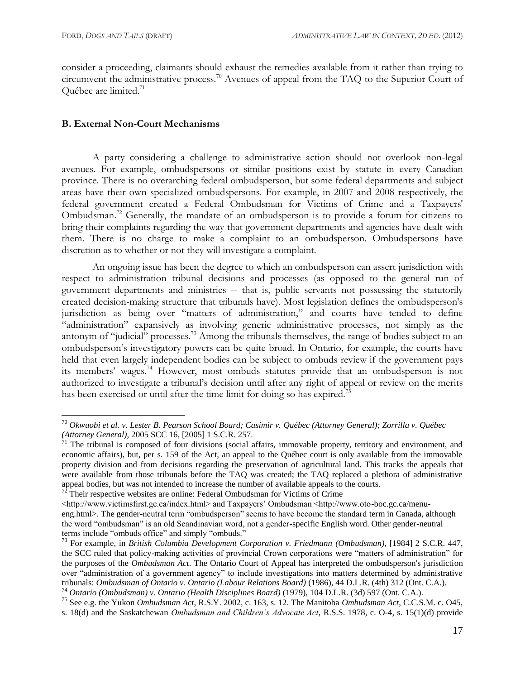$\overline{a}$ 

consider a proceeding, claimants should exhaust the remedies available from it rather than trying to circumvent the administrative process.<sup>70</sup> Avenues of appeal from the TAQ to the Superior Court of Québec are limited.<sup>71</sup>

#### <span id="page-17-0"></span>**B. External Non-Court Mechanisms**

A party considering a challenge to administrative action should not overlook non-legal avenues. For example, ombudspersons or similar positions exist by statute in every Canadian province. There is no overarching federal ombudsperson, but some federal departments and subject areas have their own specialized ombudspersons. For example, in 2007 and 2008 respectively, the federal government created a Federal Ombudsman for Victims of Crime and a Taxpayers' Ombudsman.<sup>72</sup> Generally, the mandate of an ombudsperson is to provide a forum for citizens to bring their complaints regarding the way that government departments and agencies have dealt with them. There is no charge to make a complaint to an ombudsperson. Ombudspersons have discretion as to whether or not they will investigate a complaint.

An ongoing issue has been the degree to which an ombudsperson can assert jurisdiction with respect to administration tribunal decisions and processes (as opposed to the general run of government departments and ministries -- that is, public servants not possessing the statutorily created decision-making structure that tribunals have). Most legislation defines the ombudsperson's jurisdiction as being over "matters of administration," and courts have tended to define "administration" expansively as involving generic administrative processes, not simply as the antonym of "judicial" processes.<sup>73</sup> Among the tribunals themselves, the range of bodies subject to an ombudsperson's investigatory powers can be quite broad. In Ontario, for example, the courts have held that even largely independent bodies can be subject to ombuds review if the government pays its members' wages.<sup>74</sup> However, most ombuds statutes provide that an ombudsperson is not authorized to investigate a tribunal's decision until after any right of appeal or review on the merits has been exercised or until after the time limit for doing so has expired.<sup>71</sup>

<sup>70</sup> *Okwuobi et al. v. Lester B. Pearson School Board; Casimir v. Québec (Attorney General); Zorrilla v. Québec (Attorney General)*, 2005 SCC 16, [2005] 1 S.C.R. 257.

<sup>&</sup>lt;sup>1</sup> The tribunal is composed of four divisions (social affairs, immovable property, territory and environment, and economic affairs), but, per s. 159 of the Act, an appeal to the Québec court is only available from the immovable property division and from decisions regarding the preservation of agricultural land. This tracks the appeals that were available from those tribunals before the TAQ was created; the TAQ replaced a plethora of administrative appeal bodies, but was not intended to increase the number of available appeals to the courts.

 $72$ <sup> $72$ </sup> Their respective websites are online: Federal Ombudsman for Victims of Crime

<sup>&</sup>lt;http://www.victimsfirst.gc.ca/index.html> and Taxpayers' Ombudsman <http://www.oto-boc.gc.ca/menueng.html>. The gender-neutral term "ombudsperson" seems to have become the standard term in Canada, although the word "ombudsman" is an old Scandinavian word, not a gender-specific English word. Other gender-neutral terms include "ombuds office" and simply "ombuds."

<sup>73</sup> For example, in *British Columbia Development Corporation v. Friedmann (Ombudsman)*, [1984] 2 S.C.R. 447, the SCC ruled that policy-making activities of provincial Crown corporations were "matters of administration" for the purposes of the *Ombudsman Act*. The Ontario Court of Appeal has interpreted the ombudsperson's jurisdiction over "administration of a government agency" to include investigations into matters determined by administrative tribunals: *Ombudsman of Ontario v. Ontario (Labour Relations Board)* (1986), 44 D.L.R. (4th) 312 (Ont. C.A.). <sup>74</sup> *Ontario (Ombudsman) v. Ontario (Health Disciplines Board)* (1979), 104 D.L.R. (3d) 597 (Ont. C.A.).

<sup>75</sup> See e.g. the Yukon *Ombudsman Act*, R.S.Y. 2002, c. 163, s. 12. The Manitoba *Ombudsman Act*, C.C.S.M. c. O45,

s. 18(d) and the Saskatchewan *Ombudsman and Children's Advocate Act*, R.S.S. 1978, c. O-4, s. 15(1)(d) provide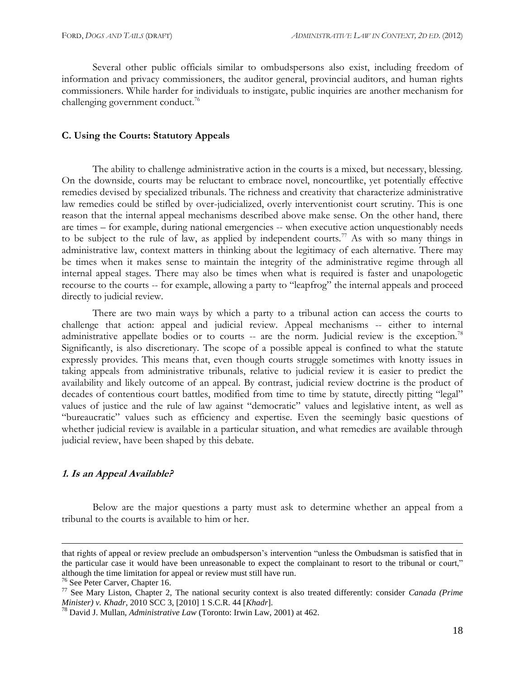Several other public officials similar to ombudspersons also exist, including freedom of information and privacy commissioners, the auditor general, provincial auditors, and human rights commissioners. While harder for individuals to instigate, public inquiries are another mechanism for challenging government conduct.<sup>76</sup>

#### <span id="page-18-0"></span>**C. Using the Courts: Statutory Appeals**

The ability to challenge administrative action in the courts is a mixed, but necessary, blessing. On the downside, courts may be reluctant to embrace novel, noncourtlike, yet potentially effective remedies devised by specialized tribunals. The richness and creativity that characterize administrative law remedies could be stifled by over-judicialized, overly interventionist court scrutiny. This is one reason that the internal appeal mechanisms described above make sense. On the other hand, there are times – for example, during national emergencies -- when executive action unquestionably needs to be subject to the rule of law, as applied by independent courts.<sup>77</sup> As with so many things in administrative law, context matters in thinking about the legitimacy of each alternative. There may be times when it makes sense to maintain the integrity of the administrative regime through all internal appeal stages. There may also be times when what is required is faster and unapologetic recourse to the courts -- for example, allowing a party to "leapfrog" the internal appeals and proceed directly to judicial review.

There are two main ways by which a party to a tribunal action can access the courts to challenge that action: appeal and judicial review. Appeal mechanisms -- either to internal administrative appellate bodies or to courts -- are the norm. Judicial review is the exception.<sup>78</sup> Significantly, is also discretionary. The scope of a possible appeal is confined to what the statute expressly provides. This means that, even though courts struggle sometimes with knotty issues in taking appeals from administrative tribunals, relative to judicial review it is easier to predict the availability and likely outcome of an appeal. By contrast, judicial review doctrine is the product of decades of contentious court battles, modified from time to time by statute, directly pitting "legal" values of justice and the rule of law against "democratic" values and legislative intent, as well as "bureaucratic" values such as efficiency and expertise. Even the seemingly basic questions of whether judicial review is available in a particular situation, and what remedies are available through judicial review, have been shaped by this debate.

# <span id="page-18-1"></span>**1. Is an Appeal Available?**

Below are the major questions a party must ask to determine whether an appeal from a tribunal to the courts is available to him or her.

that rights of appeal or review preclude an ombudsperson's intervention "unless the Ombudsman is satisfied that in the particular case it would have been unreasonable to expect the complainant to resort to the tribunal or court," although the time limitation for appeal or review must still have run.

<sup>76</sup> See Peter Carver, Chapter 16.

<sup>77</sup> See Mary Liston, Chapter 2, The national security context is also treated differently: consider *Canada (Prime Minister) v. Khadr*, 2010 SCC 3, [2010] 1 S.C.R. 44 [*Khadr*].

<sup>78</sup> David J. Mullan, *Administrative Law* (Toronto: Irwin Law, 2001) at 462.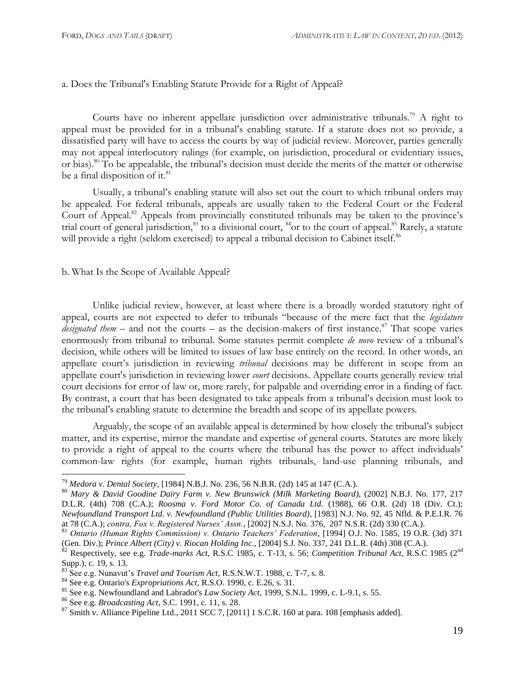#### a. Does the Tribunal's Enabling Statute Provide for a Right of Appeal?

Courts have no inherent appellate jurisdiction over administrative tribunals.<sup>79</sup> A right to appeal must be provided for in a tribunal's enabling statute. If a statute does not so provide, a dissatisfied party will have to access the courts by way of judicial review. Moreover, parties generally may not appeal interlocutory rulings (for example, on jurisdiction, procedural or evidentiary issues, or bias).<sup>80</sup> To be appealable, the tribunal's decision must decide the merits of the matter or otherwise be a final disposition of it. $81$ 

Usually, a tribunal's enabling statute will also set out the court to which tribunal orders may be appealed. For federal tribunals, appeals are usually taken to the Federal Court or the Federal Court of Appeal.<sup>82</sup> Appeals from provincially constituted tribunals may be taken to the province's trial court of general jurisdiction,  $83$  to a divisional court,  $84$  or to the court of appeal.  $85$  Rarely, a statute will provide a right (seldom exercised) to appeal a tribunal decision to Cabinet itself.<sup>86</sup>

#### b. What Is the Scope of Available Appeal?

Unlike judicial review, however, at least where there is a broadly worded statutory right of appeal, courts are not expected to defer to tribunals "because of the mere fact that the *legislature designated them* – and not the courts – as the decision-makers of first instance.<sup>87</sup> That scope varies enormously from tribunal to tribunal. Some statutes permit complete *de novo* review of a tribunal's decision, while others will be limited to issues of law base entirely on the record. In other words, an appellate court's jurisdiction in reviewing *tribunal* decisions may be different in scope from an appellate court's jurisdiction in reviewing lower *court* decisions. Appellate courts generally review trial court decisions for error of law or, more rarely, for palpable and overriding error in a finding of fact. By contrast, a court that has been designated to take appeals from a tribunal's decision must look to the tribunal's enabling statute to determine the breadth and scope of its appellate powers.

Arguably, the scope of an available appeal is determined by how closely the tribunal's subject matter, and its expertise, mirror the mandate and expertise of general courts. Statutes are more likely to provide a right of appeal to the courts where the tribunal has the power to affect individuals' common-law rights (for example, human rights tribunals, land-use planning tribunals, and

<sup>79</sup> *Medora v. Dental Society*, [1984] N.B.J. No. 236, 56 N.B.R. (2d) 145 at 147 (C.A.).

<sup>80</sup> *Mary & David Goodine Dairy Farm v. New Brunswick (Milk Marketing Board)*, (2002] N.B.J. No. 177, 217 D.L.R. (4th) 708 (C.A.); *Roosma v. Ford Motor Co. of Canada Ltd.* (1988), 66 O.R. (2d) 18 (Div. Ct.); *Newfoundland Transport Ltd. v. Newfoundland (Public Utilities Board)*, [1983] N.J. No. 92, 45 Nfld. & P.E.I.R. 76 at 78 (C.A.); *contra, Fox v. Registered Nurses' Assn.*, [2002] N.S.J. No. 376, 207 N.S.R. (2d) 330 (C.A.).

<sup>81</sup> *Ontario (Human Rights Commission) v. Ontario Teachers' Federation*, [1994] O.J. No. 1585, 19 O.R. (3d) 371 (Gen. Div.); *Prince Albert (City) v. Riocan Holding Inc.*, [2004] S.J. No. 337, 241 D.L.R. (4th) 308 (C.A.).

<sup>82</sup> Respectively, see e.g. *Trade-marks Act*, R.S.C 1985, c. T-13, s. 56; *Competition Tribunal Act*, R.S.C 1985 (2nd Supp.), c. 19, s. 13.

<sup>83</sup> See e.g. Nunavut's *Travel and Tourism Act*, R.S.N.W.T. 1988, c. T-7, s. 8.

<sup>84</sup> See e.g. Ontario's *Expropriations Act*, R.S.O. 1990, c. E.26, s. 31.

<sup>85</sup> See e.g. Newfoundland and Labrador's *Law Society Act*, 1999, S.N.L. 1999, c. L-9.1, s. 55.

<sup>86</sup> See e.g. *Broadcasting Act*, S.C. 1991, c. 11, s. 28.

<sup>&</sup>lt;sup>87</sup> Smith v. Alliance Pipeline Ltd., 2011 SCC 7, [2011] 1 S.C.R. 160 at para. 108 [emphasis added].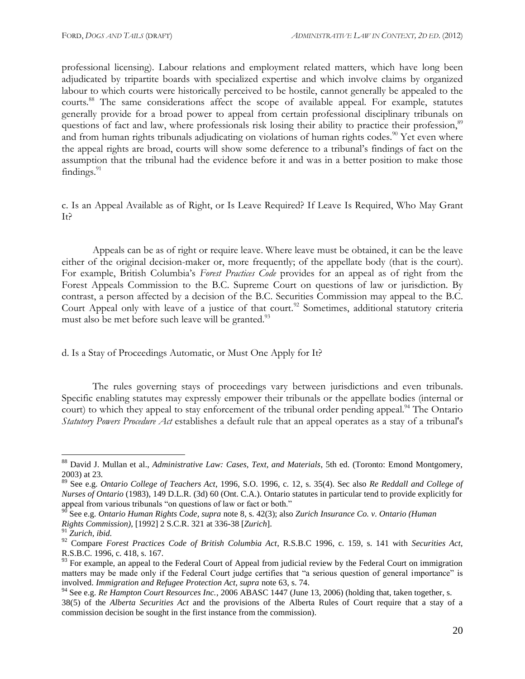professional licensing). Labour relations and employment related matters, which have long been adjudicated by tripartite boards with specialized expertise and which involve claims by organized labour to which courts were historically perceived to be hostile, cannot generally be appealed to the courts.<sup>88</sup> The same considerations affect the scope of available appeal. For example, statutes generally provide for a broad power to appeal from certain professional disciplinary tribunals on questions of fact and law, where professionals risk losing their ability to practice their profession,<sup>89</sup> and from human rights tribunals adjudicating on violations of human rights codes.<sup>90</sup> Yet even where the appeal rights are broad, courts will show some deference to a tribunal's findings of fact on the assumption that the tribunal had the evidence before it and was in a better position to make those findings. $91$ 

c. Is an Appeal Available as of Right, or Is Leave Required? If Leave Is Required, Who May Grant It?

Appeals can be as of right or require leave. Where leave must be obtained, it can be the leave either of the original decision-maker or, more frequently; of the appellate body (that is the court). For example, British Columbia's *Forest Practices Code* provides for an appeal as of right from the Forest Appeals Commission to the B.C. Supreme Court on questions of law or jurisdiction. By contrast, a person affected by a decision of the B.C. Securities Commission may appeal to the B.C. Court Appeal only with leave of a justice of that court.<sup>92</sup> Sometimes, additional statutory criteria must also be met before such leave will be granted.<sup>93</sup>

# d. Is a Stay of Proceedings Automatic, or Must One Apply for It?

The rules governing stays of proceedings vary between jurisdictions and even tribunals. Specific enabling statutes may expressly empower their tribunals or the appellate bodies (internal or court) to which they appeal to stay enforcement of the tribunal order pending appeal.<sup>94</sup> The Ontario *Statutory Powers Procedure Act* establishes a default rule that an appeal operates as a stay of a tribunal's

<sup>88</sup> David J. Mullan et al., *Administrative Law: Cases, Text, and Materials*, 5th ed. (Toronto: Emond Montgomery, 2003) at 23.

<sup>89</sup> See e.g. *Ontario College of Teachers Act*, 1996, S.O. 1996, c. 12, s. 35(4). Sec also *Re Reddall and College of Nurses of Ontario* (1983), 149 D.L.R. (3d) 60 (Ont. C.A.). Ontario statutes in particular tend to provide explicitly for appeal from various tribunals "on questions of law or fact or both."

<sup>90</sup> See e.g. *Ontario Human Rights Code, supra* note 8, s. 42(3); also *Zurich Insurance Co. v. Ontario (Human Rights Commission)*, [1992] 2 S.C.R. 321 at 336-38 [*Zurich*].

<sup>91</sup> *Zurich, ibid.*

<sup>92</sup> Compare *Forest Practices Code of British Columbia Act*, R.S.B.C 1996, c. 159, s. 141 with *Securities Act*, R.S.B.C. 1996, c. 418, s. 167.

 $93$  For example, an appeal to the Federal Court of Appeal from judicial review by the Federal Court on immigration matters may be made only if the Federal Court judge certifies that "a serious question of general importance" is involved. *Immigration and Refugee Protection Act, supra* note 63, s. 74.

<sup>94</sup> See e.g. *Re Hampton Court Resources Inc.*, 2006 ABASC 1447 (June 13, 2006) (holding that, taken together, s. 38(5) of the *Alberta Securities Act* and the provisions of the Alberta Rules of Court require that a stay of a commission decision be sought in the first instance from the commission).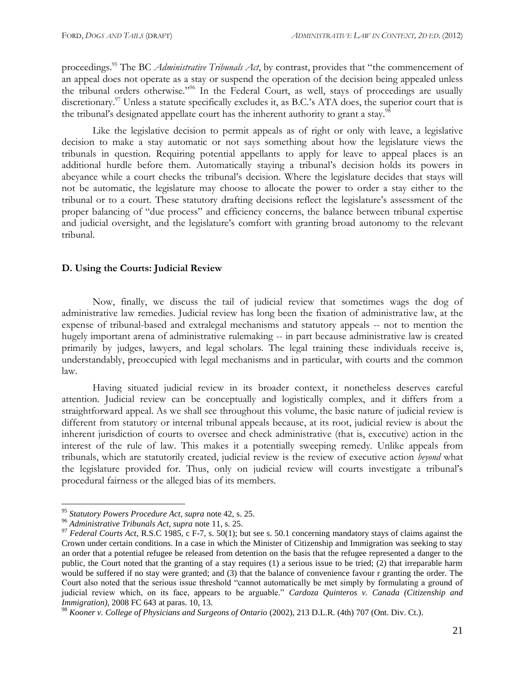proceedings.<sup>95</sup> The BC *Administrative Tribunals Act*, by contrast, provides that "the commencement of an appeal does not operate as a stay or suspend the operation of the decision being appealed unless the tribunal orders otherwise."<sup>96</sup> In the Federal Court, as well, stays of proceedings are usually discretionary.<sup>97</sup> Unless a statute specifically excludes it, as B.C.'s ATA does, the superior court that is the tribunal's designated appellate court has the inherent authority to grant a stay.<sup>98</sup>

Like the legislative decision to permit appeals as of right or only with leave, a legislative decision to make a stay automatic or not says something about how the legislature views the tribunals in question. Requiring potential appellants to apply for leave to appeal places is an additional hurdle before them. Automatically staying a tribunal's decision holds its powers in abeyance while a court checks the tribunal's decision. Where the legislature decides that stays will not be automatic, the legislature may choose to allocate the power to order a stay either to the tribunal or to a court. These statutory drafting decisions reflect the legislature's assessment of the proper balancing of "due process" and efficiency concerns, the balance between tribunal expertise and judicial oversight, and the legislature's comfort with granting broad autonomy to the relevant tribunal.

# <span id="page-21-0"></span>**D. Using the Courts: Judicial Review**

Now, finally, we discuss the tail of judicial review that sometimes wags the dog of administrative law remedies. Judicial review has long been the fixation of administrative law, at the expense of tribunal-based and extralegal mechanisms and statutory appeals -- not to mention the hugely important arena of administrative rulemaking -- in part because administrative law is created primarily by judges, lawyers, and legal scholars. The legal training these individuals receive is, understandably, preoccupied with legal mechanisms and in particular, with courts and the common law.

Having situated judicial review in its broader context, it nonetheless deserves careful attention. Judicial review can be conceptually and logistically complex, and it differs from a straightforward appeal. As we shall see throughout this volume, the basic nature of judicial review is different from statutory or internal tribunal appeals because, at its root, judicial review is about the inherent jurisdiction of courts to oversee and check administrative (that is, executive) action in the interest of the rule of law. This makes it a potentially sweeping remedy. Unlike appeals from tribunals, which are statutorily created, judicial review is the review of executive action *beyond* what the legislature provided for. Thus, only on judicial review will courts investigate a tribunal's procedural fairness or the alleged bias of its members.

 $\overline{a}$ <sup>95</sup> *Statutory Powers Procedure Act, supra* note 42, s. 25.

<sup>96</sup> *Administrative Tribunals Act, supra* note 11, s. 25.

<sup>&</sup>lt;sup>97</sup> *Federal Courts Act*, R.S.C 1985, c F-7, s. 50(1); but see s. 50.1 concerning mandatory stays of claims against the Crown under certain conditions. In a case in which the Minister of Citizenship and Immigration was seeking to stay an order that a potential refugee be released from detention on the basis that the refugee represented a danger to the public, the Court noted that the granting of a stay requires (1) a serious issue to be tried; (2) that irreparable harm would be suffered if no stay were granted; and (3) that the balance of convenience favour r granting the order. The Court also noted that the serious issue threshold "cannot automatically be met simply by formulating a ground of judicial review which, on its face, appears to be arguable." *Cardoza Quinteros v. Canada (Citizenship and Immigration)*, 2008 FC 643 at paras. 10, 13.

<sup>98</sup> *Kooner v. College of Physicians and Surgeons of Ontario* (2002), 213 D.L.R. (4th) 707 (Ont. Div. Ct.).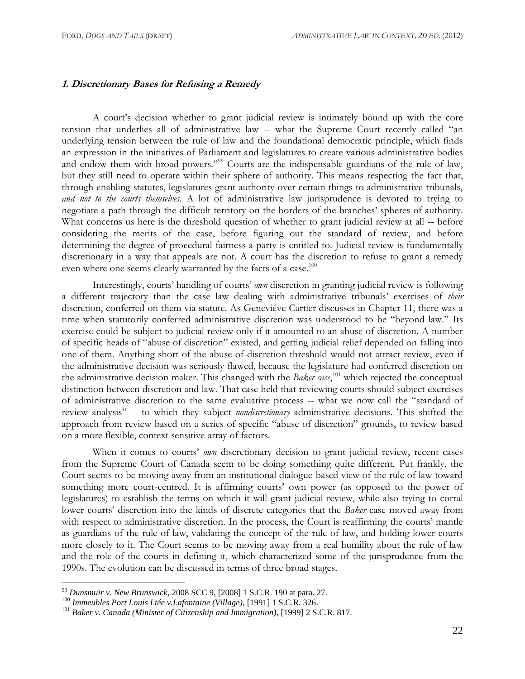#### <span id="page-22-0"></span>**1. Discretionary Bases for Refusing a Remedy**

A court's decision whether to grant judicial review is intimately bound up with the core tension that underlies all of administrative law -- what the Supreme Court recently called "an underlying tension between the rule of law and the foundational democratic principle, which finds an expression in the initiatives of Parliament and legislatures to create various administrative bodies and endow them with broad powers."<sup>99</sup> Courts are the indispensable guardians of the rule of law, but they still need to operate within their sphere of authority. This means respecting the fact that, through enabling statutes, legislatures grant authority over certain things to administrative tribunals, *and not to the courts themselves*. A lot of administrative law jurisprudence is devoted to trying to negotiate a path through the difficult territory on the borders of the branches' spheres of authority. What concerns us here is the threshold question of whether to grant judicial review at all -- before considering the merits of the case, before figuring out the standard of review, and before determining the degree of procedural fairness a party is entitled to. Judicial review is fundamentally discretionary in a way that appeals are not. A court has the discretion to refuse to grant a remedy even where one seems clearly warranted by the facts of a case.<sup>100</sup>

Interestingly, courts' handling of courts' *own* discretion in granting judicial review is following a different trajectory than the case law dealing with administrative tribunals' exercises of *their* discretion, conferred on them via statute. As Geneviéve Cartier discusses in Chapter 11, there was a time when statutorily conferred administrative discretion was understood to be "beyond law." Its exercise could be subject to judicial review only if it amounted to an abuse of discretion. A number of specific heads of "abuse of discretion" existed, and getting judicial relief depended on falling into one of them. Anything short of the abuse-of-discretion threshold would not attract review, even if the administrative decision was seriously flawed, because the legislature had conferred discretion on the administrative decision maker. This changed with the *Baker case*,<sup>101</sup> which rejected the conceptual distinction between discretion and law. That case held that reviewing courts should subject exercises of administrative discretion to the same evaluative process -- what we now call the "standard of review analysis" -- to which they subject *nondiscretionary* administrative decisions. This shifted the approach from review based on a series of specific "abuse of discretion" grounds, to review based on a more flexible, context sensitive array of factors.

When it comes to courts' *own* discretionary decision to grant judicial review, recent cases from the Supreme Court of Canada seem to be doing something quite different. Put frankly, the Court seems to be moving away from an institutional dialogue-based view of the rule of law toward something more court-centred. It is affirming courts' own power (as opposed to the power of legislatures) to establish the terms on which it will grant judicial review, while also trying to corral lower courts' discretion into the kinds of discrete categories that the *Baker* case moved away from with respect to administrative discretion. In the process, the Court is reaffirming the courts' mantle as guardians of the rule of law, validating the concept of the rule of law, and holding lower courts more closely to it. The Court seems to be moving away from a real humility about the rule of law and the role of the courts in defining it, which characterized some of the jurisprudence from the 1990s. The evolution can be discussed in terms of three broad stages.

<sup>99</sup> *Dunsmuir v. New Brunswick*, 2008 SCC 9, [2008] 1 S.C.R. 190 at para. 27.

<sup>100</sup> *Immeubles Port Louis Ltée v.Lafontaine (Village)*, [1991] 1 S.C.R. 326.

<sup>101</sup> *Baker v. Canada (Minister of Citizenship and Immigration)*, [1999] 2 S.C.R. 817.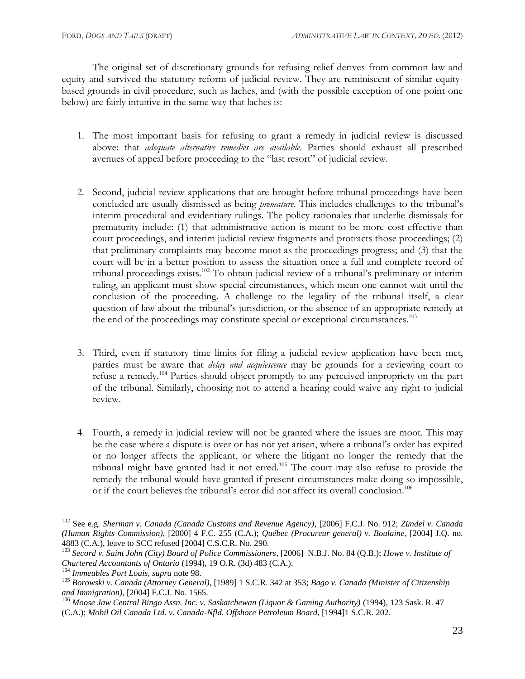The original set of discretionary grounds for refusing relief derives from common law and equity and survived the statutory reform of judicial review. They are reminiscent of similar equitybased grounds in civil procedure, such as laches, and (with the possible exception of one point one below) are fairly intuitive in the same way that laches is:

- 1. The most important basis for refusing to grant a remedy in judicial review is discussed above: that *adequate alternative remedies are available*. Parties should exhaust all prescribed avenues of appeal before proceeding to the "last resort" of judicial review.
- 2. Second, judicial review applications that are brought before tribunal proceedings have been concluded are usually dismissed as being *premature*. This includes challenges to the tribunal's interim procedural and evidentiary rulings. The policy rationales that underlie dismissals for prematurity include: (1) that administrative action is meant to be more cost-effective than court proceedings, and interim judicial review fragments and protracts those proceedings; (2) that preliminary complaints may become moot as the proceedings progress; and (3) that the court will be in a better position to assess the situation once a full and complete record of tribunal proceedings exists.<sup>102</sup> To obtain judicial review of a tribunal's preliminary or interim ruling, an applicant must show special circumstances, which mean one cannot wait until the conclusion of the proceeding. A challenge to the legality of the tribunal itself, a clear question of law about the tribunal's jurisdiction, or the absence of an appropriate remedy at the end of the proceedings may constitute special or exceptional circumstances.<sup>103</sup>
- 3. Third, even if statutory time limits for filing a judicial review application have been met, parties must be aware that *delay and acquiescence* may be grounds for a reviewing court to refuse a remedy.<sup>104</sup> Parties should object promptly to any perceived impropriety on the part of the tribunal. Similarly, choosing not to attend a hearing could waive any right to judicial review.
- 4. Fourth, a remedy in judicial review will not be granted where the issues are moot. This may be the case where a dispute is over or has not yet arisen, where a tribunal's order has expired or no longer affects the applicant, or where the litigant no longer the remedy that the tribunal might have granted had it not erred.<sup>105</sup> The court may also refuse to provide the remedy the tribunal would have granted if present circumstances make doing so impossible, or if the court believes the tribunal's error did not affect its overall conclusion.<sup>106</sup>

<sup>102</sup> See e.g. *Sherman v. Canada (Canada Customs and Revenue Agency)*, [2006] F.C.J. No. 912; *Zündel v. Canada (Human Rights Commission)*, [2000] 4 F.C. 255 (C.A.); *Québec (Procureur general) v. Boulaine*, [2004] J.Q. no. 4883 (C.A.), leave to SCC refused [2004] C.S.C.R. No. 290.

<sup>103</sup> *Secord v. Saint John (City) Board of Police Commissioners*, [2006] N.B.J. No. 84 (Q.B.); *Howe v. Institute of Chartered Accountants of Ontario* (1994), 19 O.R. (3d) 483 (C.A.).

<sup>104</sup> *Immeubles Port Louis, supra* note 98.

<sup>105</sup> *Borowski v. Canada (Attorney General)*, [1989] 1 S.C.R. 342 at 353; *Bago v. Canada (Minister of Citizenship and Immigration)*, [2004] F.C.J. No. 1565.

<sup>106</sup> *Moose Jaw Central Bingo Assn. Inc. v. Saskatchewan (Liquor & Gaming Authority)* (1994), 123 Sask. R. 47

<sup>(</sup>C.A.); *Mobil Oil Canada Ltd. v. Canada-Nfld. Offshore Petroleum Board*, [1994]1 S.C.R. 202.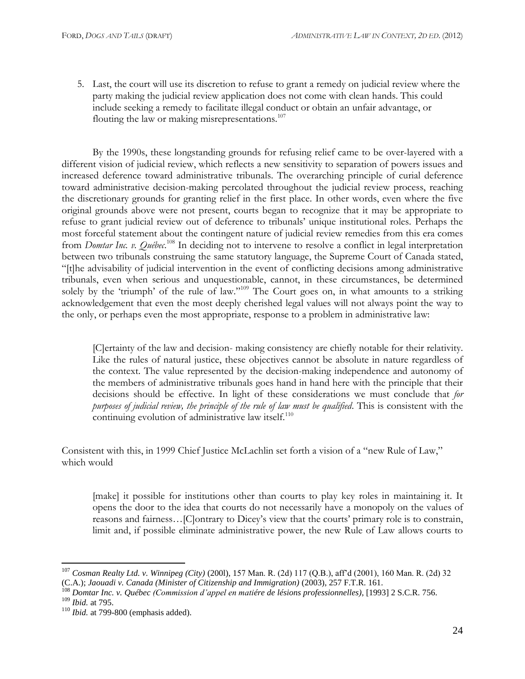5. Last, the court will use its discretion to refuse to grant a remedy on judicial review where the party making the judicial review application does not come with clean hands. This could include seeking a remedy to facilitate illegal conduct or obtain an unfair advantage, or flouting the law or making misrepresentations. $107$ 

By the 1990s, these longstanding grounds for refusing relief came to be over-layered with a different vision of judicial review, which reflects a new sensitivity to separation of powers issues and increased deference toward administrative tribunals. The overarching principle of curial deference toward administrative decision-making percolated throughout the judicial review process, reaching the discretionary grounds for granting relief in the first place. In other words, even where the five original grounds above were not present, courts began to recognize that it may be appropriate to refuse to grant judicial review out of deference to tribunals' unique institutional roles. Perhaps the most forceful statement about the contingent nature of judicial review remedies from this era comes from *Domtar Inc. v. Québec.*<sup>108</sup> In deciding not to intervene to resolve a conflict in legal interpretation between two tribunals construing the same statutory language, the Supreme Court of Canada stated, "[t]he advisability of judicial intervention in the event of conflicting decisions among administrative tribunals, even when serious and unquestionable, cannot, in these circumstances, be determined solely by the 'triumph' of the rule of law."<sup>109</sup> The Court goes on, in what amounts to a striking acknowledgement that even the most deeply cherished legal values will not always point the way to the only, or perhaps even the most appropriate, response to a problem in administrative law:

[C]ertainty of the law and decision- making consistency are chiefly notable for their relativity. Like the rules of natural justice, these objectives cannot be absolute in nature regardless of the context. The value represented by the decision-making independence and autonomy of the members of administrative tribunals goes hand in hand here with the principle that their decisions should be effective. In light of these considerations we must conclude that *for purposes of judicial review, the principle of the rule of law must be qualified*. This is consistent with the continuing evolution of administrative law itself. $110$ 

Consistent with this, in 1999 Chief Justice McLachlin set forth a vision of a "new Rule of Law," which would

[make] it possible for institutions other than courts to play key roles in maintaining it. It opens the door to the idea that courts do not necessarily have a monopoly on the values of reasons and fairness…[C]ontrary to Dicey's view that the courts' primary role is to constrain, limit and, if possible eliminate administrative power, the new Rule of Law allows courts to

 $\overline{a}$ <sup>107</sup> *Cosman Realty Ltd. v. Winnipeg (City)* (200l), 157 Man. R. (2d) 117 (Q.B.), aff'd (2001), 160 Man. R. (2d) 32 (C.A.); *Jaouadi v. Canada (Minister of Citizenship and Immigration)* (2003), 257 F.T.R. 161.

<sup>108</sup> *Domtar Inc. v. Québec (Commission d'appel en matiére de lésions professionnelles)*, [1993] 2 S.C.R. 756. <sup>109</sup> *Ibid.* at 795.

 $110$  *Ibid.* at 799-800 (emphasis added).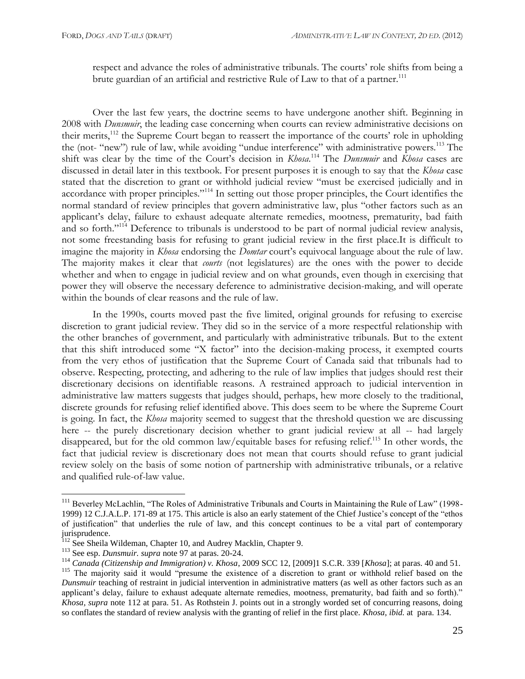<span id="page-25-0"></span>respect and advance the roles of administrative tribunals. The courts' role shifts from being a brute guardian of an artificial and restrictive Rule of Law to that of a partner.<sup>111</sup>

Over the last few years, the doctrine seems to have undergone another shift. Beginning in 2008 with *Dunsmuir*, the leading case concerning when courts can review administrative decisions on their merits,<sup>112</sup> the Supreme Court began to reassert the importance of the courts' role in upholding the (not- "new") rule of law, while avoiding "undue interference" with administrative powers.<sup>113</sup> The shift was clear by the time of the Court's decision in *Khosa*. <sup>114</sup> The *Dunsmuir* and *Khosa* cases are discussed in detail later in this textbook. For present purposes it is enough to say that the *Khosa* case stated that the discretion to grant or withhold judicial review "must be exercised judicially and in accordance with proper principles."[114](#page-25-0) In setting out those proper principles, the Court identifies the normal standard of review principles that govern administrative law, plus "other factors such as an applicant's delay, failure to exhaust adequate alternate remedies, mootness, prematurity, bad faith and so forth."<sup>[114](#page-25-0)</sup> Deference to tribunals is understood to be part of normal judicial review analysis, not some freestanding basis for refusing to grant judicial review in the first place.It is difficult to imagine the majority in *Khosa* endorsing the *Domtar* court's equivocal language about the rule of law. The majority makes it clear that *courts* (not legislatures) are the ones with the power to decide whether and when to engage in judicial review and on what grounds, even though in exercising that power they will observe the necessary deference to administrative decision-making, and will operate within the bounds of clear reasons and the rule of law.

In the 1990s, courts moved past the five limited, original grounds for refusing to exercise discretion to grant judicial review. They did so in the service of a more respectful relationship with the other branches of government, and particularly with administrative tribunals. But to the extent that this shift introduced some "X factor" into the decision-making process, it exempted courts from the very ethos of justification that the Supreme Court of Canada said that tribunals had to observe. Respecting, protecting, and adhering to the rule of law implies that judges should rest their discretionary decisions on identifiable reasons. A restrained approach to judicial intervention in administrative law matters suggests that judges should, perhaps, hew more closely to the traditional, discrete grounds for refusing relief identified above. This does seem to be where the Supreme Court is going. In fact, the *Khosa* majority seemed to suggest that the threshold question we are discussing here -- the purely discretionary decision whether to grant judicial review at all -- had largely disappeared, but for the old common law/equitable bases for refusing relief.<sup>115</sup> In other words, the fact that judicial review is discretionary does not mean that courts should refuse to grant judicial review solely on the basis of some notion of partnership with administrative tribunals, or a relative and qualified rule-of-law value.

<sup>&</sup>lt;sup>111</sup> Beverley McLachlin, "The Roles of Administrative Tribunals and Courts in Maintaining the Rule of Law" (1998-1999) 12 C.J.A.L.P. 171-89 at 175. This article is also an early statement of the Chief Justice's concept of the "ethos of justification" that underlies the rule of law, and this concept continues to be a vital part of contemporary jurisprudence.

<sup>&</sup>lt;sup>112</sup> See Sheila Wildeman, Chapter 10, and Audrey Macklin, Chapter 9.

<sup>113</sup> See esp. *Dunsmuir. supra* note 97 at paras. 20-24.

<sup>114</sup> *Canada (Citizenship and Immigration) v. Khosa*, 2009 SCC 12, [2009]1 S.C.R. 339 [*Khosa*]; at paras. 40 and 51. <sup>115</sup> The majority said it would "presume the existence of a discretion to grant or withhold relief based on the *Dunsmuir* teaching of restraint in judicial intervention in administrative matters (as well as other factors such as an applicant's delay, failure to exhaust adequate alternate remedies, mootness, prematurity, bad faith and so forth)." *Khosa, supra* note 112 at para. 51. As Rothstein J. points out in a strongly worded set of concurring reasons, doing so conflates the standard of review analysis with the granting of relief in the first place. *Khosa*, *ibid.* at para. 134.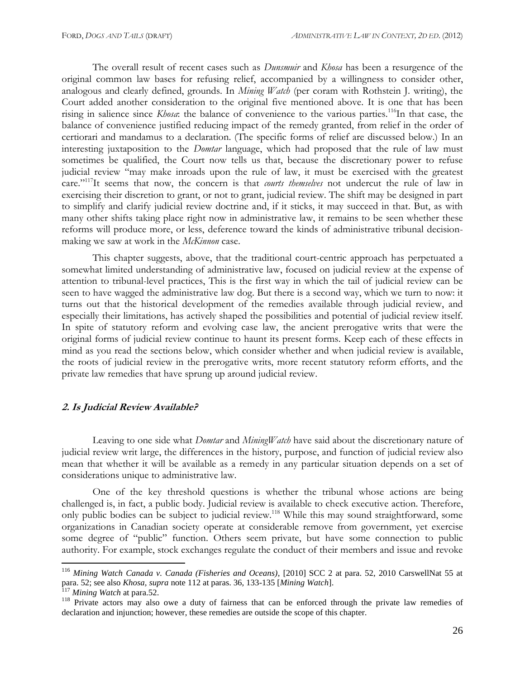The overall result of recent cases such as *Dunsmuir* and *Khosa* has been a resurgence of the original common law bases for refusing relief, accompanied by a willingness to consider other, analogous and clearly defined, grounds. In *Mining Watch* (per coram with Rothstein J. writing), the Court added another consideration to the original five mentioned above. It is one that has been rising in salience since *Khosa*: the balance of convenience to the various parties.<sup>116</sup>In that case, the balance of convenience justified reducing impact of the remedy granted, from relief in the order of certiorari and mandamus to a declaration. (The specific forms of relief are discussed below.) In an interesting juxtaposition to the *Domtar* language, which had proposed that the rule of law must sometimes be qualified, the Court now tells us that, because the discretionary power to refuse judicial review "may make inroads upon the rule of law, it must be exercised with the greatest care."<sup>117</sup>It seems that now, the concern is that *courts themselves* not undercut the rule of law in exercising their discretion to grant, or not to grant, judicial review. The shift may be designed in part to simplify and clarify judicial review doctrine and, if it sticks, it may succeed in that. But, as with many other shifts taking place right now in administrative law, it remains to be seen whether these reforms will produce more, or less, deference toward the kinds of administrative tribunal decisionmaking we saw at work in the *McKinnon* case.

This chapter suggests, above, that the traditional court-centric approach has perpetuated a somewhat limited understanding of administrative law, focused on judicial review at the expense of attention to tribunal-level practices, This is the first way in which the tail of judicial review can be seen to have wagged the administrative law dog. But there is a second way, which we turn to now: it turns out that the historical development of the remedies available through judicial review, and especially their limitations, has actively shaped the possibilities and potential of judicial review itself. In spite of statutory reform and evolving case law, the ancient prerogative writs that were the original forms of judicial review continue to haunt its present forms. Keep each of these effects in mind as you read the sections below, which consider whether and when judicial review is available, the roots of judicial review in the prerogative writs, more recent statutory reform efforts, and the private law remedies that have sprung up around judicial review.

# <span id="page-26-0"></span>**2. Is Judicial Review Available?**

 $\overline{a}$ 

Leaving to one side what *Domtar* and *MiningWatch* have said about the discretionary nature of judicial review writ large, the differences in the history, purpose, and function of judicial review also mean that whether it will be available as a remedy in any particular situation depends on a set of considerations unique to administrative law.

One of the key threshold questions is whether the tribunal whose actions are being challenged is, in fact, a public body. Judicial review is available to check executive action. Therefore, only public bodies can be subject to judicial review.<sup>118</sup> While this may sound straightforward, some organizations in Canadian society operate at considerable remove from government, yet exercise some degree of "public" function. Others seem private, but have some connection to public authority. For example, stock exchanges regulate the conduct of their members and issue and revoke

<sup>116</sup> *Mining Watch Canada v. Canada (Fisheries and Oceans)*, [2010] SCC 2 at para. 52, 2010 CarswellNat 55 at para. 52; see also *Khosa, supra* note 112 at paras. 36, 133-135 [*Mining Watch*]. <sup>117</sup> *Mining Watch* at para.52.

<sup>&</sup>lt;sup>118</sup> Private actors may also owe a duty of fairness that can be enforced through the private law remedies of declaration and injunction; however, these remedies are outside the scope of this chapter.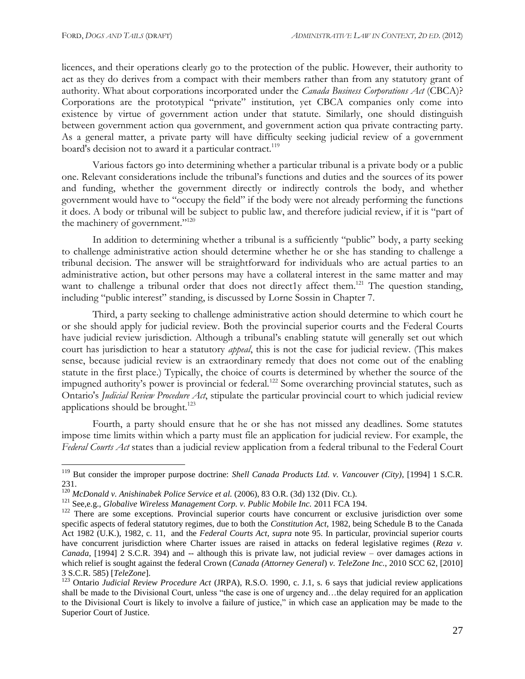$\overline{a}$ 

licences, and their operations clearly go to the protection of the public. However, their authority to act as they do derives from a compact with their members rather than from any statutory grant of authority. What about corporations incorporated under the *Canada Business Corporations Act* (CBCA)? Corporations are the prototypical "private" institution, yet CBCA companies only come into existence by virtue of government action under that statute. Similarly, one should distinguish between government action qua government, and government action qua private contracting party. As a general matter, a private party will have difficulty seeking judicial review of a government board's decision not to award it a particular contract.<sup>119</sup>

Various factors go into determining whether a particular tribunal is a private body or a public one. Relevant considerations include the tribunal's functions and duties and the sources of its power and funding, whether the government directly or indirectly controls the body, and whether government would have to "occupy the field" if the body were not already performing the functions it does. A body or tribunal will be subject to public law, and therefore judicial review, if it is "part of the machinery of government."<sup>120</sup>

In addition to determining whether a tribunal is a sufficiently "public" body, a party seeking to challenge administrative action should determine whether he or she has standing to challenge a tribunal decision. The answer will be straightforward for individuals who are actual parties to an administrative action, but other persons may have a collateral interest in the same matter and may want to challenge a tribunal order that does not directly affect them.<sup>121</sup> The question standing, including "public interest" standing, is discussed by Lorne Sossin in Chapter 7.

Third, a party seeking to challenge administrative action should determine to which court he or she should apply for judicial review. Both the provincial superior courts and the Federal Courts have judicial review jurisdiction. Although a tribunal's enabling statute will generally set out which court has jurisdiction to hear a statutory *appeal*, this is not the case for judicial review. (This makes sense, because judicial review is an extraordinary remedy that does not come out of the enabling statute in the first place.) Typically, the choice of courts is determined by whether the source of the impugned authority's power is provincial or federal.<sup>122</sup> Some overarching provincial statutes, such as Ontario's *Judicial Review Procedure Act*, stipulate the particular provincial court to which judicial review applications should be brought. $123$ 

Fourth, a party should ensure that he or she has not missed any deadlines. Some statutes impose time limits within which a party must file an application for judicial review. For example, the *Federal Courts Act* states than a judicial review application from a federal tribunal to the Federal Court

<sup>119</sup> But consider the improper purpose doctrine: *Shell Canada Products Ltd. v. Vancouver (City)*, [1994] 1 S.C.R. 231.

<sup>120</sup> *McDonald v. Anishinabek Police Service et al.* (2006), 83 O.R. (3d) 132 (Div. Ct.).

<sup>121</sup> See,e.g., *Globalive Wireless Management Corp. v. Public Mobile Inc.* 2011 FCA 194.

<sup>&</sup>lt;sup>122</sup> There are some exceptions. Provincial superior courts have concurrent or exclusive jurisdiction over some specific aspects of federal statutory regimes, due to both the *Constitution Act*, 1982, being Schedule B to the Canada Act 1982 (U.K.), 1982, c. 11, and the *Federal Courts Act*, *supra* note 95. In particular, provincial superior courts have concurrent jurisdiction where Charter issues are raised in attacks on federal legislative regimes (*Reza v. Canada*, [1994] 2 S.C.R. 394) and -- although this is private law, not judicial review – over damages actions in which relief is sought against the federal Crown (*Canada (Attorney General*) *v. TeleZone Inc.*, 2010 SCC 62, [2010] 3 S.C.R. 585) [*TeleZone*].

<sup>123</sup> Ontario *Judicial Review Procedure Act* (JRPA), R.S.O. 1990, c. J.1, s. 6 says that judicial review applications shall be made to the Divisional Court, unless "the case is one of urgency and…the delay required for an application to the Divisional Court is likely to involve a failure of justice," in which case an application may be made to the Superior Court of Justice.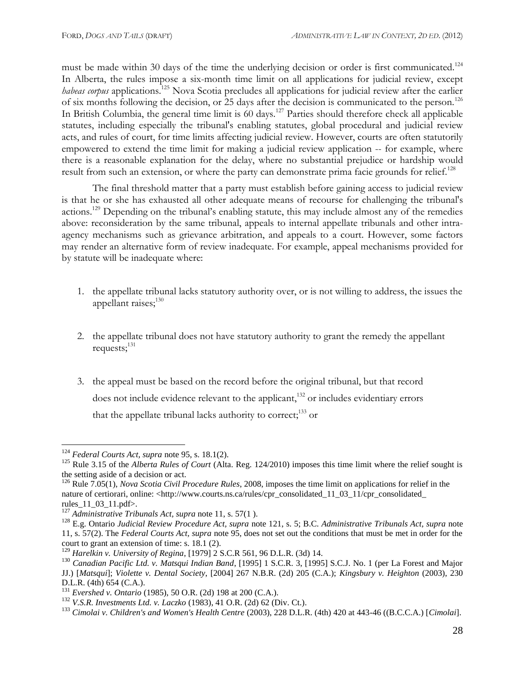must be made within 30 days of the time the underlying decision or order is first communicated.<sup>124</sup> In Alberta, the rules impose a six-month time limit on all applications for judicial review, except *habeas corpus* applications.<sup>125</sup> Nova Scotia precludes all applications for judicial review after the earlier of six months following the decision, or 25 days after the decision is communicated to the person.<sup>126</sup> In British Columbia, the general time limit is 60 days.<sup>127</sup> Parties should therefore check all applicable statutes, including especially the tribunal's enabling statutes, global procedural and judicial review acts, and rules of court, for time limits affecting judicial review. However, courts are often statutorily empowered to extend the time limit for making a judicial review application -- for example, where there is a reasonable explanation for the delay, where no substantial prejudice or hardship would result from such an extension, or where the party can demonstrate prima facie grounds for relief.<sup>128</sup>

The final threshold matter that a party must establish before gaining access to judicial review is that he or she has exhausted all other adequate means of recourse for challenging the tribunal's actions.<sup>129</sup> Depending on the tribunal's enabling statute, this may include almost any of the remedies above: reconsideration by the same tribunal, appeals to internal appellate tribunals and other intraagency mechanisms such as grievance arbitration, and appeals to a court. However, some factors may render an alternative form of review inadequate. For example, appeal mechanisms provided for by statute will be inadequate where:

- 1. the appellate tribunal lacks statutory authority over, or is not willing to address, the issues the appellant raises:<sup>130</sup>
- 2. the appellate tribunal does not have statutory authority to grant the remedy the appellant requests; $^{131}$
- 3. the appeal must be based on the record before the original tribunal, but that record does not include evidence relevant to the applicant,<sup>132</sup> or includes evidentiary errors that the appellate tribunal lacks authority to correct;<sup>133</sup> or

<sup>124</sup> *Federal Courts Act, supra* note 95, s. 18.1(2).

<sup>&</sup>lt;sup>125</sup> Rule 3.15 of the *Alberta Rules of Court* (Alta. Reg. 124/2010) imposes this time limit where the relief sought is the setting aside of a decision or act.

<sup>126</sup> Rule 7.05(1), *Nova Scotia Civil Procedure Rules*, 2008, imposes the time limit on applications for relief in the nature of certiorari, online: <http://www.courts.ns.ca/rules/cpr\_consolidated\_11\_03\_11/cpr\_consolidated\_ rules\_11\_03\_11.pdf>.

<sup>127</sup> *Administrative Tribunals Act, supra* note 11, s. 57(1 ).

<sup>128</sup> E.g. Ontario *Judicial Review Procedure Act, supra* note 121, s. 5; B.C. *Administrative Tribunals Act, supra* note 11, s. 57(2). The *Federal Courts Act, supra* note 95, does not set out the conditions that must be met in order for the court to grant an extension of time: s. 18.1 (2).

<sup>129</sup> *Harelkin v. University of Regina*, [1979] 2 S.C.R 561, 96 D.L.R. (3d) 14.

<sup>130</sup> *Canadian Pacific Ltd. v. Matsqui Indian Band*, [1995] 1 S.C.R. 3, [1995] S.C.J. No. 1 (per La Forest and Major JJ.) [*Matsqui*]; *Violette v. Dental Society*, [2004] 267 N.B.R. (2d) 205 (C.A.); *Kingsbury v. Heighton* (2003), 230 D.L.R. (4th) 654 (C.A.).

<sup>131</sup> *Evershed v. Ontario* (1985), 50 O.R. (2d) 198 at 200 (C.A.).

<sup>132</sup> *V.S.R. Investments Ltd. v. Laczko* (1983), 41 O.R. (2d) 62 (Div. Ct.).

<sup>133</sup> *Cimolai v. Children's and Women's Health Centre* (2003), 228 D.L.R. (4th) 420 at 443-46 ((B.C.C.A.) [*Cimolai*].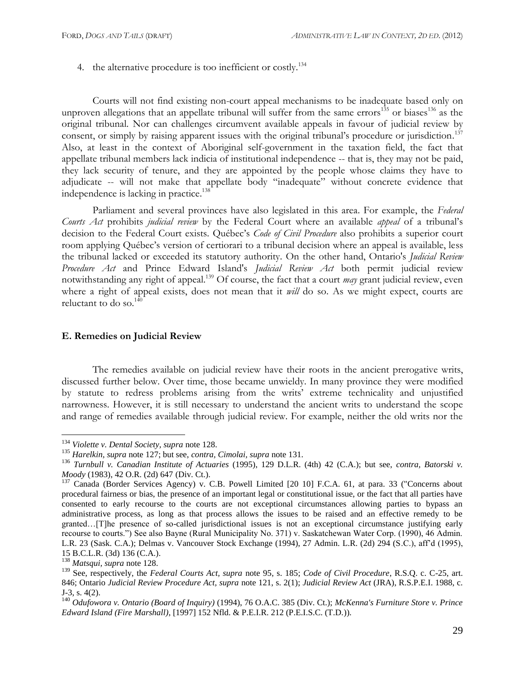4. the alternative procedure is too inefficient or costly.<sup>134</sup>

Courts will not find existing non-court appeal mechanisms to be inadequate based only on unproven allegations that an appellate tribunal will suffer from the same errors<sup>135</sup> or biases<sup>136</sup> as the original tribunal. Nor can challenges circumvent available appeals in favour of judicial review by consent, or simply by raising apparent issues with the original tribunal's procedure or jurisdiction.<sup>137</sup> Also, at least in the context of Aboriginal self-government in the taxation field, the fact that appellate tribunal members lack indicia of institutional independence -- that is, they may not be paid, they lack security of tenure, and they are appointed by the people whose claims they have to adjudicate -- will not make that appellate body "inadequate" without concrete evidence that independence is lacking in practice.<sup>138</sup>

Parliament and several provinces have also legislated in this area. For example, the *Federal Courts Act* prohibits *judicial review* by the Federal Court where an available *appeal* of a tribunal's decision to the Federal Court exists. Québec's *Code of Civil Procedure* also prohibits a superior court room applying Québec's version of certiorari to a tribunal decision where an appeal is available, less the tribunal lacked or exceeded its statutory authority. On the other hand, Ontario's *Judicial Review Procedure Act* and Prince Edward Island's *Judicial Review Act* both permit judicial review notwithstanding any right of appeal.<sup>139</sup> Of course, the fact that a court *may* grant judicial review, even where a right of appeal exists, does not mean that it *will* do so. As we might expect, courts are reluctant to do so. $^{140}$ 

#### <span id="page-29-0"></span>**E. Remedies on Judicial Review**

The remedies available on judicial review have their roots in the ancient prerogative writs, discussed further below. Over time, those became unwieldy. In many province they were modified by statute to redress problems arising from the writs' extreme technicality and unjustified narrowness. However, it is still necessary to understand the ancient writs to understand the scope and range of remedies available through judicial review. For example, neither the old writs nor the

<sup>138</sup> *Matsqui, supra* note 128.

<sup>134</sup> *Violette v. Dental Society, supra* note 128.

<sup>135</sup> *Harelkin, supra* note 127; but see, *contra, Cimolai, supra* note 131.

<sup>136</sup> *Turnbull v. Canadian Institute of Actuaries* (1995), 129 D.L.R. (4th) 42 (C.A.); but see, *contra, Batorski v. Moody* (1983), 42 O.R. (2d) 647 (Div. Ct.).

<sup>&</sup>lt;sup>137</sup> Canada (Border Services Agency) v. C.B. Powell Limited [20 10] F.C.A. 61, at para. 33 ("Concerns about procedural fairness or bias, the presence of an important legal or constitutional issue, or the fact that all parties have consented to early recourse to the courts are not exceptional circumstances allowing parties to bypass an administrative process, as long as that process allows the issues to be raised and an effective remedy to be granted…[T]he presence of so-called jurisdictional issues is not an exceptional circumstance justifying early recourse to courts.") See also Bayne (Rural Municipality No. 371) v. Saskatchewan Water Corp. (1990), 46 Admin. L.R. 23 (Sask. C.A.); Delmas v. Vancouver Stock Exchange (1994), 27 Admin. L.R. (2d) 294 (S.C.), aff'd (1995), 15 B.C.L.R. (3d) 136 (C.A.).

<sup>139</sup> See, respectively, the *Federal Courts Act, supra* note 95, s. 185; *Code of Civil Procedure*, R.S.Q. c. C-25, art. 846; Ontario *Judicial Review Procedure Act, supra* note 121, s. 2(1); *Judicial Review Act* (JRA), R.S.P.E.I. 1988, c. J-3, s. 4(2).

<sup>140</sup> *Odufowora v. Ontario (Board of Inquiry)* (1994), 76 O.A.C. 385 (Div. Ct.); *McKenna's Furniture Store v. Prince Edward Island (Fire Marshall)*, [1997] 152 Nfld. & P.E.I.R. 212 (P.E.I.S.C. (T.D.)).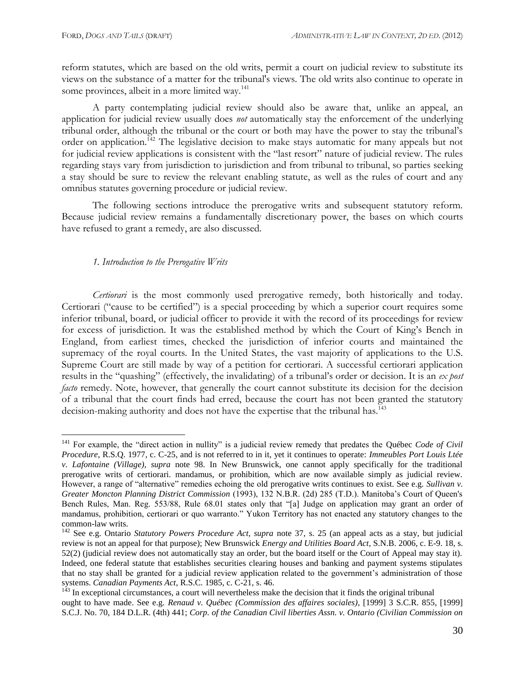reform statutes, which are based on the old writs, permit a court on judicial review to substitute its views on the substance of a matter for the tribunal's views. The old writs also continue to operate in some provinces, albeit in a more limited way.<sup>141</sup>

A party contemplating judicial review should also be aware that, unlike an appeal, an application for judicial review usually does *not* automatically stay the enforcement of the underlying tribunal order, although the tribunal or the court or both may have the power to stay the tribunal's order on application.<sup>142</sup> The legislative decision to make stays automatic for many appeals but not for judicial review applications is consistent with the "last resort" nature of judicial review. The rules regarding stays vary from jurisdiction to jurisdiction and from tribunal to tribunal, so parties seeking a stay should be sure to review the relevant enabling statute, as well as the rules of court and any omnibus statutes governing procedure or judicial review.

The following sections introduce the prerogative writs and subsequent statutory reform. Because judicial review remains a fundamentally discretionary power, the bases on which courts have refused to grant a remedy, are also discussed.

# <span id="page-30-0"></span>*1. Introduction to the Prerogative Writs*

*Certiorari* is the most commonly used prerogative remedy, both historically and today. Certiorari ("cause to be certified") is a special proceeding by which a superior court requires some inferior tribunal, board, or judicial officer to provide it with the record of its proceedings for review for excess of jurisdiction. It was the established method by which the Court of King's Bench in England, from earliest times, checked the jurisdiction of inferior courts and maintained the supremacy of the royal courts. In the United States, the vast majority of applications to the U.S. Supreme Court are still made by way of a petition for certiorari. A successful certiorari application results in the "quashing" (effectively, the invalidating) of a tribunal's order or decision. It is an *ex post facto* remedy. Note, however, that generally the court cannot substitute its decision for the decision of a tribunal that the court finds had erred, because the court has not been granted the statutory decision-making authority and does not have the expertise that the tribunal has.<sup>143</sup>

 $\overline{a}$ <sup>141</sup> For example, the "direct action in nullity" is a judicial review remedy that predates the Québec *Code of Civil Procedure*, R.S.Q. 1977, c. C-25, and is not referred to in it, yet it continues to operate: *Immeubles Port Louis Ltée v. Lafontaine (Village), supra* note 98. In New Brunswick, one cannot apply specifically for the traditional prerogative writs of certiorari. mandamus, or prohibition, which are now available simply as judicial review. However, a range of "alternative" remedies echoing the old prerogative writs continues to exist. See e.g. *Sullivan v. Greater Moncton Planning District Commission* (1993), 132 N.B.R. (2d) 285 (T.D.). Manitoba's Court of Queen's Bench Rules, Man. Reg. 553/88, Rule 68.01 states only that "[a] Judge on application may grant an order of mandamus, prohibition, certiorari or quo warranto." Yukon Territory has not enacted any statutory changes to the common-law writs.

<sup>142</sup> See e.g. Ontario *Statutory Powers Procedure Act, supra* note 37, s. 25 (an appeal acts as a stay, but judicial review is not an appeal for that purpose); New Brunswick *Energy and Utilities Board Act*, S.N.B. 2006, c. E-9. 18, s. 52(2) (judicial review does not automatically stay an order, but the board itself or the Court of Appeal may stay it). Indeed, one federal statute that establishes securities clearing houses and banking and payment systems stipulates that no stay shall be granted for a judicial review application related to the government's administration of those systems. *Canadian Payments Act*, R.S.C. 1985, c. C-21, s. 46.

 $143$  In exceptional circumstances, a court will nevertheless make the decision that it finds the original tribunal ought to have made. See e.g. *Renaud v. Québec (Commission des affaires sociales)*, [1999] 3 S.C.R. 855, [1999] S.C.J. No. 70, 184 D.L.R. (4th) 441; *Corp. of the Canadian Civil liberties Assn. v. Ontario (Civilian Commission on*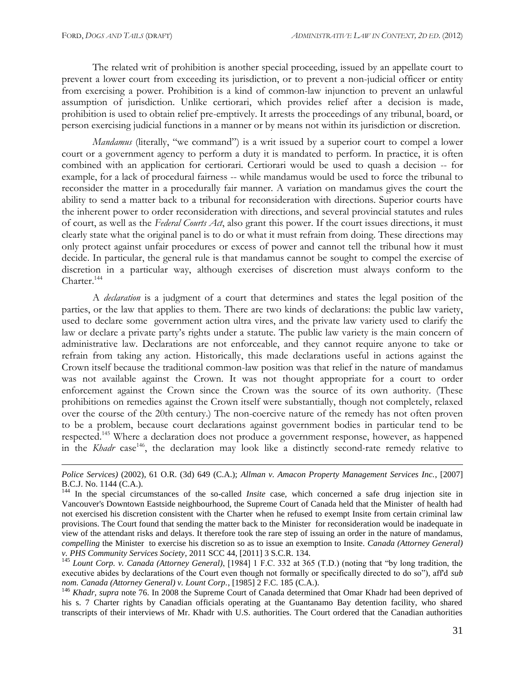$\overline{a}$ 

The related writ of prohibition is another special proceeding, issued by an appellate court to prevent a lower court from exceeding its jurisdiction, or to prevent a non-judicial officer or entity from exercising a power. Prohibition is a kind of common-law injunction to prevent an unlawful assumption of jurisdiction. Unlike certiorari, which provides relief after a decision is made, prohibition is used to obtain relief pre-emptively. It arrests the proceedings of any tribunal, board, or person exercising judicial functions in a manner or by means not within its jurisdiction or discretion.

*Mandamus* (literally, "we command") is a writ issued by a superior court to compel a lower court or a government agency to perform a duty it is mandated to perform. In practice, it is often combined with an application for certiorari. Certiorari would be used to quash a decision -- for example, for a lack of procedural fairness -- while mandamus would be used to force the tribunal to reconsider the matter in a procedurally fair manner. A variation on mandamus gives the court the ability to send a matter back to a tribunal for reconsideration with directions. Superior courts have the inherent power to order reconsideration with directions, and several provincial statutes and rules of court, as well as the *Federal Courts Act*, also grant this power. If the court issues directions, it must clearly state what the original panel is to do or what it must refrain from doing. These directions may only protect against unfair procedures or excess of power and cannot tell the tribunal how it must decide. In particular, the general rule is that mandamus cannot be sought to compel the exercise of discretion in a particular way, although exercises of discretion must always conform to the Charter.<sup>144</sup>

A *declaration* is a judgment of a court that determines and states the legal position of the parties, or the law that applies to them. There are two kinds of declarations: the public law variety, used to declare some government action ultra vires, and the private law variety used to clarify the law or declare a private party's rights under a statute. The public law variety is the main concern of administrative law. Declarations are not enforceable, and they cannot require anyone to take or refrain from taking any action. Historically, this made declarations useful in actions against the Crown itself because the traditional common-law position was that relief in the nature of mandamus was not available against the Crown. It was not thought appropriate for a court to order enforcement against the Crown since the Crown was the source of its own authority. (These prohibitions on remedies against the Crown itself were substantially, though not completely, relaxed over the course of the 20th century.) The non-coercive nature of the remedy has not often proven to be a problem, because court declarations against government bodies in particular tend to be respected.<sup>145</sup> Where a declaration does not produce a government response, however, as happened in the *Khadr* case<sup>146</sup>, the declaration may look like a distinctly second-rate remedy relative to

*Police Services)* (2002), 61 O.R. (3d) 649 (C.A.); *Allman v. Amacon Property Management Services Inc.*, [2007] B.C.J. No. 1144 (C.A.).

<sup>&</sup>lt;sup>144</sup> In the special circumstances of the so-called *Insite* case, which concerned a safe drug injection site in Vancouver's Downtown Eastside neighbourhood, the Supreme Court of Canada held that the Minister of health had not exercised his discretion consistent with the Charter when he refused to exempt Insite from certain criminal law provisions. The Court found that sending the matter back to the Minister for reconsideration would be inadequate in view of the attendant risks and delays. It therefore took the rare step of issuing an order in the nature of mandamus, *compelling* the Minister to exercise his discretion so as to issue an exemption to Insite. *Canada (Attorney General) v. PHS Community Services Society*, 2011 SCC 44, [2011] 3 S.C.R. 134.

<sup>145</sup> *Lount Corp. v. Canada (Attorney General)*, [1984] 1 F.C. 332 at 365 (T.D.) (noting that "by long tradition, the executive abides by declarations of the Court even though not formally or specifically directed to do so"), aff'd *sub nom. Canada (Attorney General) v. Lount Corp.*, [1985] 2 F.C. 185 (C.A.).

<sup>&</sup>lt;sup>146</sup> *Khadr, supra* note 76. In 2008 the Supreme Court of Canada determined that Omar Khadr had been deprived of his s. 7 Charter rights by Canadian officials operating at the Guantanamo Bay detention facility, who shared transcripts of their interviews of Mr. Khadr with U.S. authorities. The Court ordered that the Canadian authorities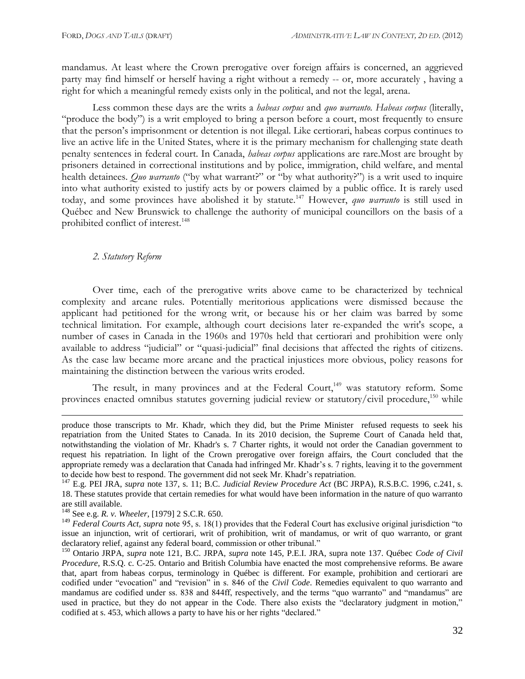mandamus. At least where the Crown prerogative over foreign affairs is concerned, an aggrieved party may find himself or herself having a right without a remedy -- or, more accurately , having a right for which a meaningful remedy exists only in the political, and not the legal, arena.

Less common these days are the writs a *habeas corpus* and *quo warranto. Habeas corpus* (literally, "produce the body") is a writ employed to bring a person before a court, most frequently to ensure that the person's imprisonment or detention is not illegal. Like certiorari, habeas corpus continues to live an active life in the United States, where it is the primary mechanism for challenging state death penalty sentences in federal court. In Canada, *habeas corpus* applications are rare.Most are brought by prisoners detained in correctional institutions and by police, immigration, child welfare, and mental health detainees. *Quo warranto* ("by what warrant?" or "by what authority?") is a writ used to inquire into what authority existed to justify acts by or powers claimed by a public office. It is rarely used today, and some provinces have abolished it by statute.<sup>147</sup> However, *quo warranto* is still used in Québec and New Brunswick to challenge the authority of municipal councillors on the basis of a prohibited conflict of interest.<sup>148</sup>

# <span id="page-32-0"></span>*2. Statutory Reform*

 $\overline{a}$ 

Over time, each of the prerogative writs above came to be characterized by technical complexity and arcane rules. Potentially meritorious applications were dismissed because the applicant had petitioned for the wrong writ, or because his or her claim was barred by some technical limitation. For example, although court decisions later re-expanded the writ's scope, a number of cases in Canada in the 1960s and 1970s held that certiorari and prohibition were only available to address "judicial" or "quasi-judicial" final decisions that affected the rights of citizens. As the case law became more arcane and the practical injustices more obvious, policy reasons for maintaining the distinction between the various writs eroded.

The result, in many provinces and at the Federal Court,<sup>149</sup> was statutory reform. Some provinces enacted omnibus statutes governing judicial review or statutory/civil procedure,<sup>150</sup> while

produce those transcripts to Mr. Khadr, which they did, but the Prime Minister refused requests to seek his repatriation from the United States to Canada. In its 2010 decision, the Supreme Court of Canada held that, notwithstanding the violation of Mr. Khadr's s. 7 Charter rights, it would not order the Canadian government to request his repatriation. In light of the Crown prerogative over foreign affairs, the Court concluded that the appropriate remedy was a declaration that Canada had infringed Mr. Khadr's s. 7 rights, leaving it to the government to decide how best to respond. The government did not seek Mr. Khadr's repatriation.

<sup>147</sup> E.g. PEI JRA, *supra* note 137, s. 11; B.C. *Judicial Review Procedure Act* (BC JRPA), R.S.B.C. 1996, c.241, s. 18. These statutes provide that certain remedies for what would have been information in the nature of quo warranto are still available.

<sup>148</sup> See e.g. *R. v. Wheeler*, [1979] 2 S.C.R. 650.

<sup>&</sup>lt;sup>149</sup> *Federal Courts Act, supra* note 95, s. 18(1) provides that the Federal Court has exclusive original jurisdiction "to issue an injunction, writ of certiorari, writ of prohibition, writ of mandamus, or writ of quo warranto, or grant declaratory relief, against any federal board, commission or other tribunal."

<sup>150</sup> Ontario JRPA, *supra* note 121, B.C. JRPA, *supra* note 145, P.E.I. JRA, supra note 137. Québec *Code of Civil Procedure*, R.S.Q. c. C-25. Ontario and British Columbia have enacted the most comprehensive reforms. Be aware that, apart from habeas corpus, terminology in Québec is different. For example, prohibition and certiorari are codified under "evocation" and "revision" in s. 846 of the *Civil Code*. Remedies equivalent to quo warranto and mandamus are codified under ss. 838 and 844ff, respectively, and the terms "quo warranto" and "mandamus" are used in practice, but they do not appear in the Code. There also exists the "declaratory judgment in motion," codified at s. 453, which allows a party to have his or her rights "declared."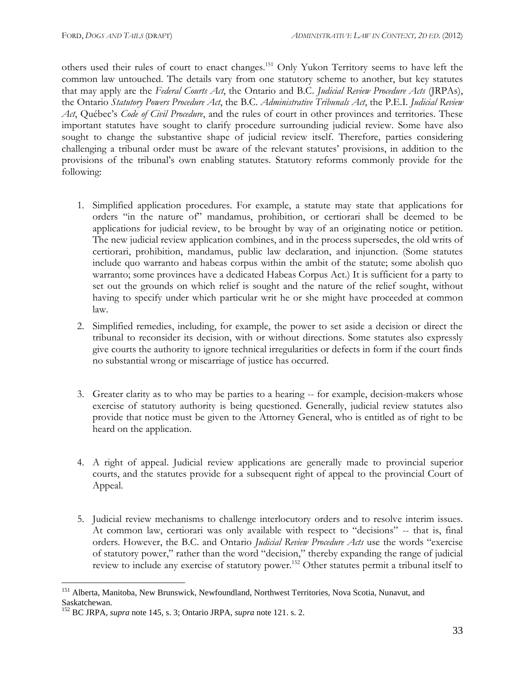others used their rules of court to enact changes.<sup>151</sup> Only Yukon Territory seems to have left the common law untouched. The details vary from one statutory scheme to another, but key statutes that may apply are the *Federal Courts Act*, the Ontario and B.C. *Judicial Review Procedure Acts* (JRPAs), the Ontario *Statutory Powers Procedure Act*, the B.C. *Administrative Tribunals Act*, the P.E.I. *Judicial Review Act*, Québec's *Code of Civil Procedure*, and the rules of court in other provinces and territories. These important statutes have sought to clarify procedure surrounding judicial review. Some have also sought to change the substantive shape of judicial review itself. Therefore, parties considering challenging a tribunal order must be aware of the relevant statutes' provisions, in addition to the provisions of the tribunal's own enabling statutes. Statutory reforms commonly provide for the following:

- 1. Simplified application procedures. For example, a statute may state that applications for orders "in the nature of" mandamus, prohibition, or certiorari shall be deemed to be applications for judicial review, to be brought by way of an originating notice or petition. The new judicial review application combines, and in the process supersedes, the old writs of certiorari, prohibition, mandamus, public law declaration, and injunction. (Some statutes include quo warranto and habeas corpus within the ambit of the statute; some abolish quo warranto; some provinces have a dedicated Habeas Corpus Act.) It is sufficient for a party to set out the grounds on which relief is sought and the nature of the relief sought, without having to specify under which particular writ he or she might have proceeded at common law.
- 2. Simplified remedies, including, for example, the power to set aside a decision or direct the tribunal to reconsider its decision, with or without directions. Some statutes also expressly give courts the authority to ignore technical irregularities or defects in form if the court finds no substantial wrong or miscarriage of justice has occurred.
- 3. Greater clarity as to who may be parties to a hearing -- for example, decision-makers whose exercise of statutory authority is being questioned. Generally, judicial review statutes also provide that notice must be given to the Attorney General, who is entitled as of right to be heard on the application.
- 4. A right of appeal. Judicial review applications are generally made to provincial superior courts, and the statutes provide for a subsequent right of appeal to the provincial Court of Appeal.
- 5. Judicial review mechanisms to challenge interlocutory orders and to resolve interim issues. At common law, certiorari was only available with respect to "decisions" -- that is, final orders. However, the B.C. and Ontario *Judicial Review Procedure Acts* use the words "exercise of statutory power," rather than the word "decision," thereby expanding the range of judicial review to include any exercise of statutory power.<sup>152</sup> Other statutes permit a tribunal itself to

 $\overline{a}$ <sup>151</sup> Alberta, Manitoba, New Brunswick, Newfoundland, Northwest Territories, Nova Scotia, Nunavut, and Saskatchewan.

<sup>152</sup> BC JRPA, *supra* note 145, s. 3; Ontario JRPA, *supra* note 121. s. 2.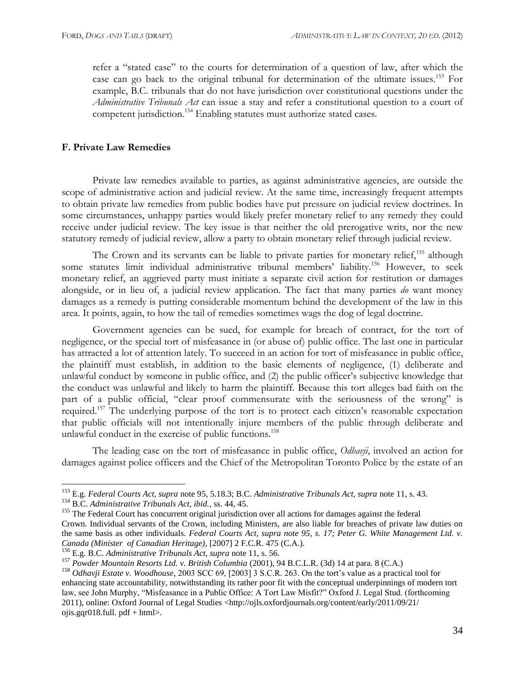refer a "stated case" to the courts for determination of a question of law, after which the case can go back to the original tribunal for determination of the ultimate issues.<sup>153</sup> For example, B.C. tribunals that do not have jurisdiction over constitutional questions under the *Administrative Tribunals Act* can issue a stay and refer a constitutional question to a court of competent jurisdiction.<sup>154</sup> Enabling statutes must authorize stated cases.

#### <span id="page-34-0"></span>**F. Private Law Remedies**

Private law remedies available to parties, as against administrative agencies, are outside the scope of administrative action and judicial review. At the same time, increasingly frequent attempts to obtain private law remedies from public bodies have put pressure on judicial review doctrines. In some circumstances, unhappy parties would likely prefer monetary relief to any remedy they could receive under judicial review. The key issue is that neither the old prerogative writs, nor the new statutory remedy of judicial review, allow a party to obtain monetary relief through judicial review.

The Crown and its servants can be liable to private parties for monetary relief,<sup>155</sup> although some statutes limit individual administrative tribunal members' liability.<sup>156</sup> However, to seek monetary relief, an aggrieved party must initiate a separate civil action for restitution or damages alongside, or in lieu of, a judicial review application. The fact that many parties *do* want money damages as a remedy is putting considerable momentum behind the development of the law in this area. It points, again, to how the tail of remedies sometimes wags the dog of legal doctrine.

Government agencies can be sued, for example for breach of contract, for the tort of negligence, or the special tort of misfeasance in (or abuse of) public office. The last one in particular has attracted a lot of attention lately. To succeed in an action for tort of misfeasance in public office, the plaintiff must establish, in addition to the basic elements of negligence, (1) deliberate and unlawful conduct by someone in public office, and (2) the public officer's subjective knowledge that the conduct was unlawful and likely to harm the plaintiff. Because this tort alleges bad faith on the part of a public official, "clear proof commensurate with the seriousness of the wrong" is required.<sup>157</sup> The underlying purpose of the tort is to protect each citizen's reasonable expectation that public officials will not intentionally injure members of the public through deliberate and unlawful conduct in the exercise of public functions.<sup>158</sup>

The leading case on the tort of misfeasance in public office, *Odhavji*, involved an action for damages against police officers and the Chief of the Metropolitan Toronto Police by the estate of an

<sup>153</sup> E.g. *Federal Courts Act, supra* note 95, 5.18.3; B.C. *Administrative Tribunals Act, supra* note 11, s. 43.

<sup>154</sup> B.C. *Administrative Tribunals Act, ibid.*, ss. 44, 45.

<sup>&</sup>lt;sup>155</sup> The Federal Court has concurrent original jurisdiction over all actions for damages against the federal Crown. Individual servants of the Crown, including Ministers, are also liable for breaches of private law duties on the same basis as other individuals. *Federal Courts Act, supra note 95, s. 17; Peter G. White Management Ltd. v. Canada (Minister of Canadian Heritage)*, [2007] 2 F.C.R. 475 (C.A.).

<sup>156</sup> E.g. B.C. *Administrative Tribunals Act, supra* note 11, s. 56.

<sup>157</sup> *Powder Mountain Resorts Ltd. v. British Columbia* (2001), 94 B.C.L.R. (3d) 14 at para. 8 (C.A.)

<sup>158</sup> *Odhavji Estate v. Woodhouse*, 2003 SCC 69, [2003] 3 S.C.R. 263. On the tort's value as a practical tool for enhancing state accountability, notwithstanding its rather poor fit with the conceptual underpinnings of modern tort law, see John Murphy, "Misfeasance in a Public Office: A Tort Law Misfit?" Oxford J. Legal Stud. (forthcoming 2011), online: Oxford Journal of Legal Studies <http://ojls.oxfordjournals.org/content/early/2011/09/21/ ojis.gqr018.full. pdf + html>.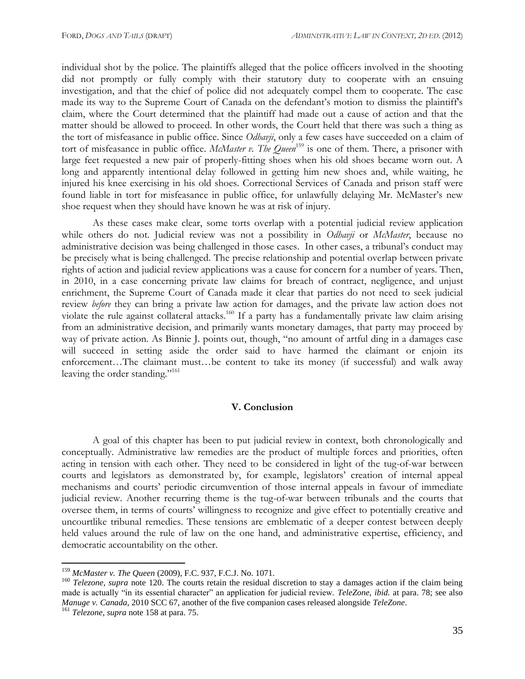individual shot by the police. The plaintiffs alleged that the police officers involved in the shooting did not promptly or fully comply with their statutory duty to cooperate with an ensuing investigation, and that the chief of police did not adequately compel them to cooperate. The case made its way to the Supreme Court of Canada on the defendant's motion to dismiss the plaintiff's claim, where the Court determined that the plaintiff had made out a cause of action and that the matter should be allowed to proceed. In other words, the Court held that there was such a thing as the tort of misfeasance in public office. Since *Odhavji*, only a few cases have succeeded on a claim of tort of misfeasance in public office. *McMaster v. The Queen*<sup>159</sup> is one of them. There, a prisoner with large feet requested a new pair of properly-fitting shoes when his old shoes became worn out. A long and apparently intentional delay followed in getting him new shoes and, while waiting, he injured his knee exercising in his old shoes. Correctional Services of Canada and prison staff were found liable in tort for misfeasance in public office, for unlawfully delaying Mr. McMaster's new shoe request when they should have known he was at risk of injury.

As these cases make clear, some torts overlap with a potential judicial review application while others do not. Judicial review was not a possibility in *Odhavji* or *McMaster*, because no administrative decision was being challenged in those cases. In other cases, a tribunal's conduct may be precisely what is being challenged. The precise relationship and potential overlap between private rights of action and judicial review applications was a cause for concern for a number of years. Then, in 2010, in a case concerning private law claims for breach of contract, negligence, and unjust enrichment, the Supreme Court of Canada made it clear that parties do not need to seek judicial review *before* they can bring a private law action for damages, and the private law action does not violate the rule against collateral attacks.<sup>160</sup> If a party has a fundamentally private law claim arising from an administrative decision, and primarily wants monetary damages, that party may proceed by way of private action. As Binnie J. points out, though, "no amount of artful ding in a damages case will succeed in setting aside the order said to have harmed the claimant or enjoin its enforcement…The claimant must…be content to take its money (if successful) and walk away leaving the order standing."<sup>161</sup>

# **V. Conclusion**

<span id="page-35-0"></span>A goal of this chapter has been to put judicial review in context, both chronologically and conceptually. Administrative law remedies are the product of multiple forces and priorities, often acting in tension with each other. They need to be considered in light of the tug-of-war between courts and legislators as demonstrated by, for example, legislators' creation of internal appeal mechanisms and courts' periodic circumvention of those internal appeals in favour of immediate judicial review. Another recurring theme is the tug-of-war between tribunals and the courts that oversee them, in terms of courts' willingness to recognize and give effect to potentially creative and uncourtlike tribunal remedies. These tensions are emblematic of a deeper contest between deeply held values around the rule of law on the one hand, and administrative expertise, efficiency, and democratic accountability on the other.

<sup>159</sup> *McMaster v. The Queen* (2009), F.C. 937, F.C.J. No. 1071.

<sup>&</sup>lt;sup>160</sup> *Telezone, supra* note 120. The courts retain the residual discretion to stay a damages action if the claim being made is actually "in its essential character" an application for judicial review. *TeleZone, ibid.* at para. 78; see also *Manuge v. Canada*, 2010 SCC 67, another of the five companion cases released alongside *TeleZone*.

<sup>161</sup> *Telezone, supra* note 158 at para. 75.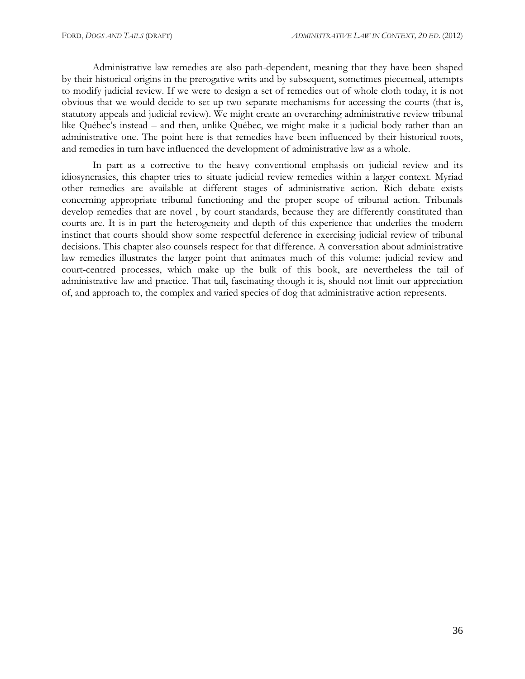Administrative law remedies are also path-dependent, meaning that they have been shaped by their historical origins in the prerogative writs and by subsequent, sometimes piecemeal, attempts to modify judicial review. If we were to design a set of remedies out of whole cloth today, it is not obvious that we would decide to set up two separate mechanisms for accessing the courts (that is, statutory appeals and judicial review). We might create an overarching administrative review tribunal like Québec's instead – and then, unlike Québec, we might make it a judicial body rather than an administrative one. The point here is that remedies have been influenced by their historical roots, and remedies in turn have influenced the development of administrative law as a whole.

In part as a corrective to the heavy conventional emphasis on judicial review and its idiosyncrasies, this chapter tries to situate judicial review remedies within a larger context. Myriad other remedies are available at different stages of administrative action. Rich debate exists concerning appropriate tribunal functioning and the proper scope of tribunal action. Tribunals develop remedies that are novel , by court standards, because they are differently constituted than courts are. It is in part the heterogeneity and depth of this experience that underlies the modern instinct that courts should show some respectful deference in exercising judicial review of tribunal decisions. This chapter also counsels respect for that difference. A conversation about administrative law remedies illustrates the larger point that animates much of this volume: judicial review and court-centred processes, which make up the bulk of this book, are nevertheless the tail of administrative law and practice. That tail, fascinating though it is, should not limit our appreciation of, and approach to, the complex and varied species of dog that administrative action represents.